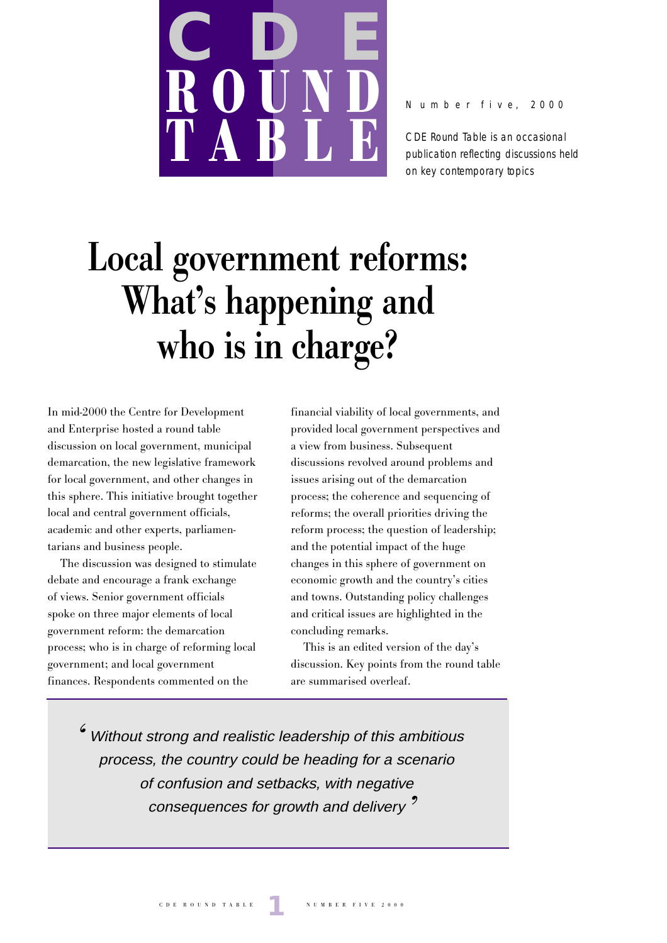

N u m b e r f i v e , 2000

CDE Round Table is an occasional publication reflecting discussions held on key contemporary topics

# **Local government reforms: What's happening and who is in charge?**

In mid-2000 the Centre for Development and Enterprise hosted a round table discussion on local government, municipal demarcation, the new legislative framework for local government, and other changes in this sphere. This initiative brought together local and central government officials, academic and other experts, parliamentarians and business people.

The discussion was designed to stimulate debate and encourage a frank exchange of views. Senior government officials spoke on three major elements of local government reform: the demarcation process; who is in charge of reforming local government; and local government finances. Respondents commented on the

financial viability of local governments, and provided local government perspectives and a view from business. Subsequent discussions revolved around problems and issues arising out of the demarcation process; the coherence and sequencing of reforms; the overall priorities driving the reform process; the question of leadership; and the potential impact of the huge changes in this sphere of government on economic growth and the country's cities and towns. Outstanding policy challenges and critical issues are highlighted in the concluding remarks.

This is an edited version of the day's discussion. Key points from the round table are summarised overleaf.

Without strong and realistic leadership of this ambitious process, the country could be heading for a scenario of confusion and setbacks, with negative consequences for growth and delivery  $^{\mathfrak{d}}$ '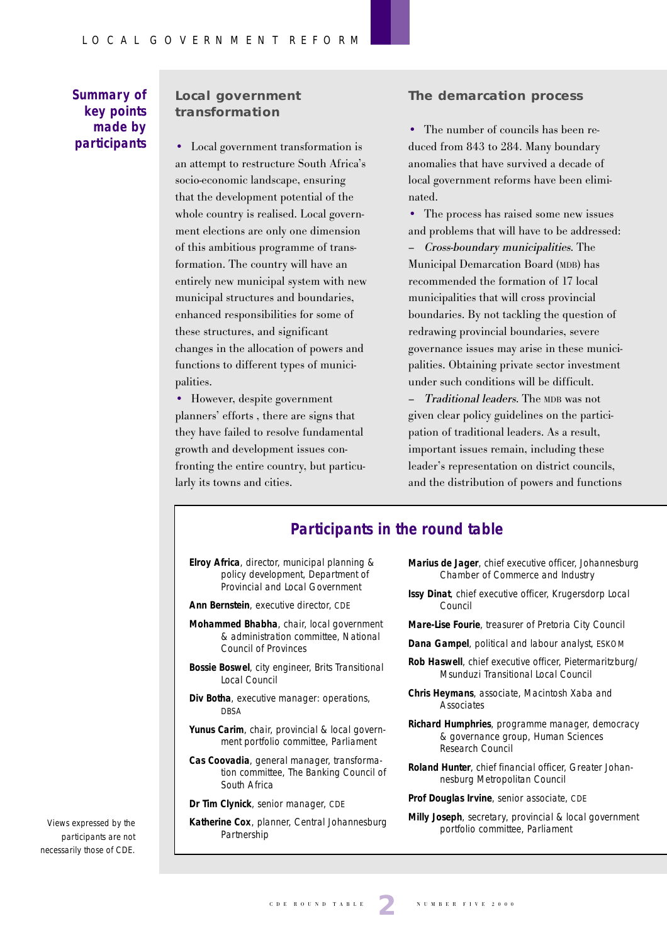**Summary of key points made by participants**

# **Local government transformation**

• Local government transformation is an attempt to restructure South Africa's socio-economic landscape, ensuring that the development potential of the whole country is realised. Local government elections are only one dimension of this ambitious programme of transformation. The country will have an entirely new municipal system with new municipal structures and boundaries, enhanced responsibilities for some of these structures, and significant changes in the allocation of powers and functions to different types of municipalities.

• However, despite government planners' efforts , there are signs that they have failed to resolve fundamental growth and development issues confronting the entire country, but particularly its towns and cities.

#### **The demarcation process**

• The number of councils has been reduced from 843 to 284. Many boundary anomalies that have survived a decade of local government reforms have been eliminated.

• The process has raised some new issues and problems that will have to be addressed: – Cross-boundary municipalities. The Municipal Demarcation Board (MDB) has recommended the formation of 17 local municipalities that will cross provincial boundaries. By not tackling the question of redrawing provincial boundaries, severe governance issues may arise in these municipalities. Obtaining private sector investment under such conditions will be difficult.

– Traditional leaders. The MDB was not given clear policy guidelines on the participation of traditional leaders. As a result, important issues remain, including these leader's representation on district councils, and the distribution of powers and functions

### **Participants in the round table**

- **Elroy Africa**, director, municipal planning & policy development, Department of Provincial and Local Government
- **Ann Bernstein**, executive director, CDE
- **Mohammed Bhabha**, chair, local government & administration committee, National Council of Provinces
- **Bossie Boswel**, city engineer, Brits Transitional Local Council
- **Div Botha**, executive manager: operations, **DBSA**
- **Yunus Carim**, chair, provincial & local government portfolio committee, Parliament
- **Cas Coovadia**, general manager, transformation committee, The Banking Council of South Africa
- **Dr Tim Clynick**, senior manager, CDE
- **Katherine Cox**, planner, Central Johannesburg Partnership
- **Marius de Jager**, chief executive officer, Johannesburg Chamber of Commerce and Industry
- **Issy Dinat**, chief executive officer, Krugersdorp Local Council
- **Mare-Lise Fourie**, treasurer of Pretoria City Council
- **Dana Gampel**, political and labour analyst, ESKOM
- **Rob Haswell**, chief executive officer, Pietermaritzburg/ Msunduzi Transitional Local Council
- **Chris Heymans**, associate, Macintosh Xaba and **Associates**
- **Richard Humphries**, programme manager, democracy & governance group, Human Sciences Research Council
- **Roland Hunter**, chief financial officer, Greater Johannesburg Metropolitan Council
- **Prof Douglas Irvine**, senior associate, CDE
- **Milly Joseph**, secretary, provincial & local government portfolio committee, Parliament

Views expressed by the participants are not necessarily those of CDE.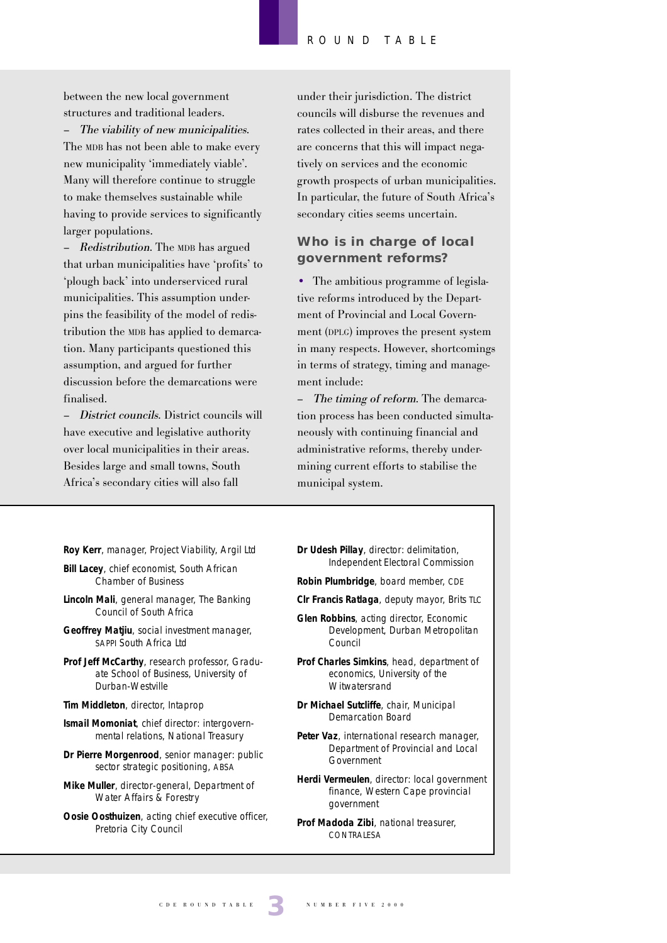between the new local government structures and traditional leaders.

The viability of new municipalities. The MDB has not been able to make every new municipality 'immediately viable'. Many will therefore continue to struggle to make themselves sustainable while having to provide services to significantly larger populations.

– Redistribution. The MDB has argued that urban municipalities have 'profits' to 'plough back' into underserviced rural municipalities. This assumption underpins the feasibility of the model of redistribution the MDB has applied to demarcation. Many participants questioned this assumption, and argued for further discussion before the demarcations were finalised.

– District councils. District councils will have executive and legislative authority over local municipalities in their areas. Besides large and small towns, South Africa's secondary cities will also fall

under their jurisdiction. The district councils will disburse the revenues and rates collected in their areas, and there are concerns that this will impact negatively on services and the economic growth prospects of urban municipalities. In particular, the future of South Africa's secondary cities seems uncertain.

# **Who is in charge of local government reforms?**

• The ambitious programme of legislative reforms introduced by the Department of Provincial and Local Government (DPLG) improves the present system in many respects. However, shortcomings in terms of strategy, timing and management include:

The timing of reform. The demarcation process has been conducted simultaneously with continuing financial and administrative reforms, thereby undermining current efforts to stabilise the municipal system.

- **Roy Kerr**, manager, Project Viability, Argil Ltd
- **Bill Lacey**, chief economist, South African Chamber of Business
- **Lincoln Mali**, general manager, The Banking Council of South Africa
- **Geoffrey Matjiu**, social investment manager, SAPPI South Africa Ltd
- **Prof Jeff McCarthy**, research professor, Graduate School of Business, University of Durban-Westville
- **Tim Middleton**, director, Intaprop
- **Ismail Momoniat**, chief director: intergovernmental relations, National Treasury
- **Dr Pierre Morgenrood**, senior manager: public sector strategic positioning, ABSA
- **Mike Muller**, director-general, Department of Water Affairs & Forestry
- **Oosie Oosthuizen**, acting chief executive officer, Pretoria City Council
- **Dr Udesh Pillay**, director: delimitation, Independent Electoral Commission
- **Robin Plumbridge**, board member, CDE
- **Clr Francis Ratlaga**, deputy mayor, Brits TLC
- **Glen Robbins**, acting director, Economic Development, Durban Metropolitan Council
- **Prof Charles Simkins**, head, department of economics, University of the **Witwatersrand**
- **Dr Michael Sutcliffe**, chair, Municipal Demarcation Board
- **Peter Vaz**, international research manager, Department of Provincial and Local **Government**
- **Herdi Vermeulen**, director: local government finance, Western Cape provincial government
- **Prof Madoda Zibi**, national treasurer, CONTRALESA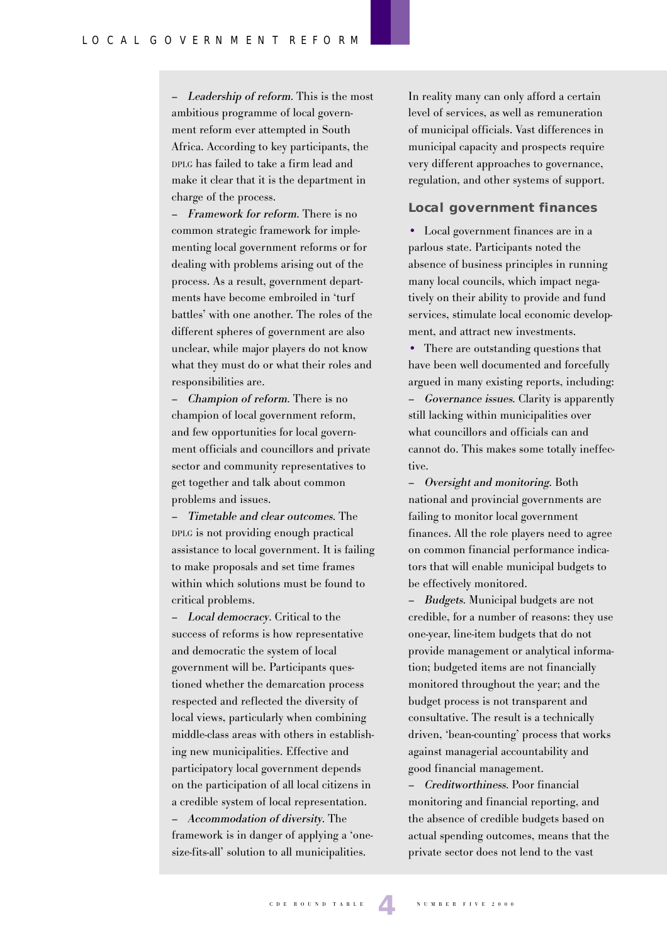– Leadership of reform. This is the most ambitious programme of local government reform ever attempted in South Africa. According to key participants, the DPLG has failed to take a firm lead and make it clear that it is the department in charge of the process.

– Framework for reform. There is no common strategic framework for implementing local government reforms or for dealing with problems arising out of the process. As a result, government departments have become embroiled in 'turf battles' with one another. The roles of the different spheres of government are also unclear, while major players do not know what they must do or what their roles and responsibilities are.

– Champion of reform. There is no champion of local government reform, and few opportunities for local government officials and councillors and private sector and community representatives to get together and talk about common problems and issues.

– Timetable and clear outcomes. The DPLG is not providing enough practical assistance to local government. It is failing to make proposals and set time frames within which solutions must be found to critical problems.

– Local democracy. Critical to the success of reforms is how representative and democratic the system of local government will be. Participants questioned whether the demarcation process respected and reflected the diversity of local views, particularly when combining middle-class areas with others in establishing new municipalities. Effective and participatory local government depends on the participation of all local citizens in a credible system of local representation. – Accommodation of diversity. The framework is in danger of applying a 'onesize-fits-all' solution to all municipalities.

In reality many can only afford a certain level of services, as well as remuneration of municipal officials. Vast differences in municipal capacity and prospects require very different approaches to governance, regulation, and other systems of support.

#### **Local government finances**

• Local government finances are in a parlous state. Participants noted the absence of business principles in running many local councils, which impact negatively on their ability to provide and fund services, stimulate local economic development, and attract new investments.

• There are outstanding questions that have been well documented and forcefully argued in many existing reports, including: Governance issues. Clarity is apparently still lacking within municipalities over what councillors and officials can and cannot do. This makes some totally ineffective.

– Oversight and monitoring. Both national and provincial governments are failing to monitor local government finances. All the role players need to agree on common financial performance indicators that will enable municipal budgets to be effectively monitored.

– Budgets. Municipal budgets are not credible, for a number of reasons: they use one-year, line-item budgets that do not provide management or analytical information; budgeted items are not financially monitored throughout the year; and the budget process is not transparent and consultative. The result is a technically driven, 'bean-counting' process that works against managerial accountability and good financial management.

– Creditworthiness. Poor financial monitoring and financial reporting, and the absence of credible budgets based on actual spending outcomes, means that the private sector does not lend to the vast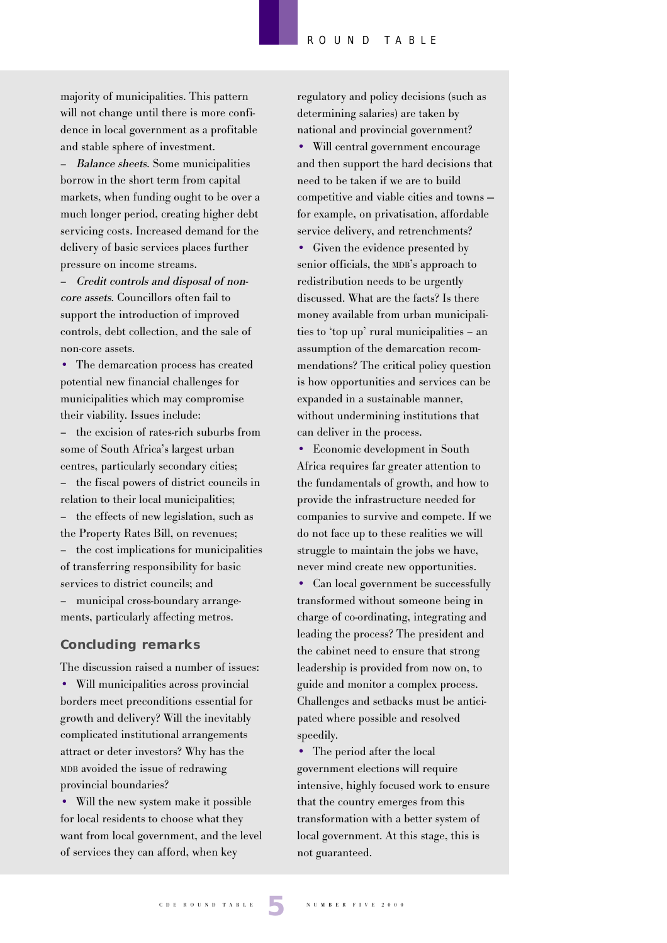majority of municipalities. This pattern will not change until there is more confidence in local government as a profitable and stable sphere of investment.

– Balance sheets. Some municipalities borrow in the short term from capital markets, when funding ought to be over a much longer period, creating higher debt servicing costs. Increased demand for the delivery of basic services places further pressure on income streams.

– Credit controls and disposal of noncore assets. Councillors often fail to support the introduction of improved controls, debt collection, and the sale of non-core assets.

• The demarcation process has created potential new financial challenges for municipalities which may compromise their viability. Issues include:

– the excision of rates-rich suburbs from some of South Africa's largest urban centres, particularly secondary cities; – the fiscal powers of district councils in

relation to their local municipalities; – the effects of new legislation, such as the Property Rates Bill, on revenues; the cost implications for municipalities of transferring responsibility for basic services to district councils; and – municipal cross-boundary arrange-

#### **Concluding remarks**

ments, particularly affecting metros.

The discussion raised a number of issues: • Will municipalities across provincial borders meet preconditions essential for growth and delivery? Will the inevitably complicated institutional arrangements attract or deter investors? Why has the MDB avoided the issue of redrawing provincial boundaries?

• Will the new system make it possible for local residents to choose what they want from local government, and the level of services they can afford, when key

regulatory and policy decisions (such as determining salaries) are taken by national and provincial government?

• Will central government encourage and then support the hard decisions that need to be taken if we are to build competitive and viable cities and towns for example, on privatisation, affordable service delivery, and retrenchments?

• Given the evidence presented by senior officials, the MDB's approach to redistribution needs to be urgently discussed. What are the facts? Is there money available from urban municipalities to 'top up' rural municipalities – an assumption of the demarcation recommendations? The critical policy question is how opportunities and services can be expanded in a sustainable manner, without undermining institutions that can deliver in the process.

• Economic development in South Africa requires far greater attention to the fundamentals of growth, and how to provide the infrastructure needed for companies to survive and compete. If we do not face up to these realities we will struggle to maintain the jobs we have, never mind create new opportunities.

• Can local government be successfully transformed without someone being in charge of co-ordinating, integrating and leading the process? The president and the cabinet need to ensure that strong leadership is provided from now on, to guide and monitor a complex process. Challenges and setbacks must be anticipated where possible and resolved speedily.

• The period after the local government elections will require intensive, highly focused work to ensure that the country emerges from this transformation with a better system of local government. At this stage, this is not guaranteed.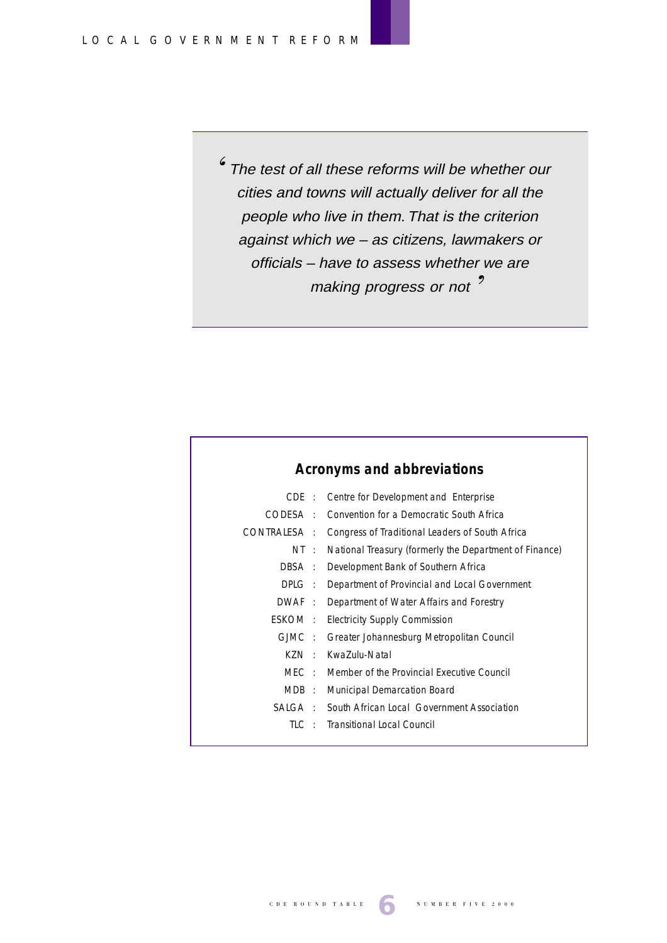The test of all these reforms will be whether our 'cities and towns will actually deliver for all the people who live in them. That is the criterion against which we – as citizens, lawmakers or officials – have to assess whether we are making progress or not <sup>?</sup>

| Acronyms and abbreviations |  |                                                        |  |  |  |  |  |
|----------------------------|--|--------------------------------------------------------|--|--|--|--|--|
| $CDE$ :                    |  | Centre for Development and Enterprise                  |  |  |  |  |  |
|                            |  | CODESA : Convention for a Democratic South Africa      |  |  |  |  |  |
| CONTRALESA :               |  | Congress of Traditional Leaders of South Africa        |  |  |  |  |  |
| NT:                        |  | National Treasury (formerly the Department of Finance) |  |  |  |  |  |
|                            |  | DBSA : Development Bank of Southern Africa             |  |  |  |  |  |
|                            |  | DPLG : Department of Provincial and Local Government   |  |  |  |  |  |
| DWAF :                     |  | Department of Water Affairs and Forestry               |  |  |  |  |  |
| ESKOM :                    |  | <b>Electricity Supply Commission</b>                   |  |  |  |  |  |
|                            |  | GJMC : Greater Johannesburg Metropolitan Council       |  |  |  |  |  |
|                            |  | KZN : KwaZulu-Natal                                    |  |  |  |  |  |
|                            |  | MFC : Member of the Provincial Executive Council       |  |  |  |  |  |
| MDB :                      |  | <b>Municipal Demarcation Board</b>                     |  |  |  |  |  |
|                            |  | SALGA : South African Local Government Association     |  |  |  |  |  |
|                            |  | TLC : Transitional Local Council                       |  |  |  |  |  |
|                            |  |                                                        |  |  |  |  |  |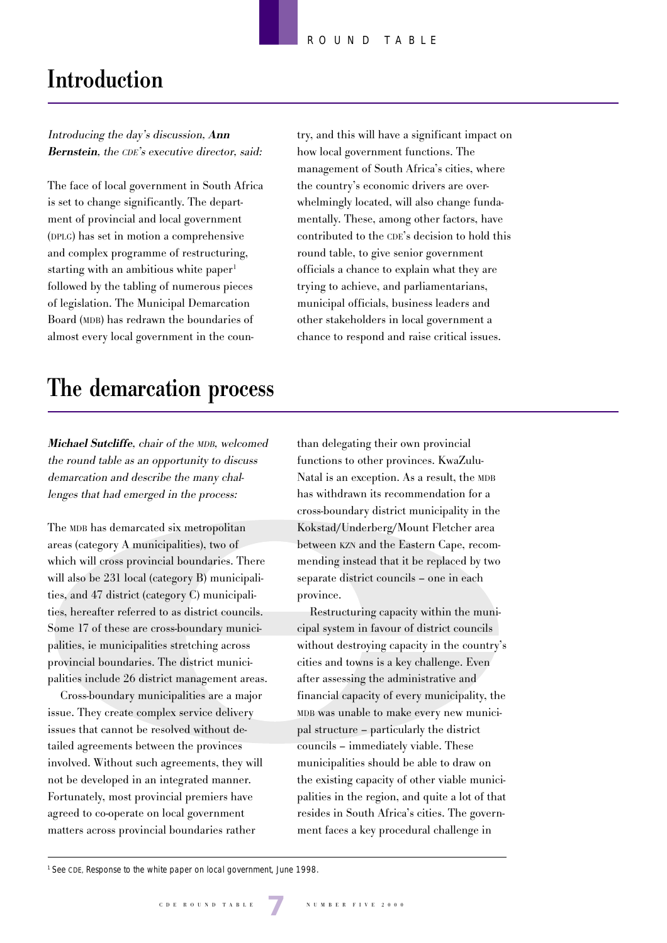# **Introduction**

Introducing the day's discussion, **Ann Bernstein**, the CDE's executive director, said:

The face of local government in South Africa is set to change significantly. The department of provincial and local government (DPLG) has set in motion a comprehensive and complex programme of restructuring, starting with an ambitious white paper<sup>1</sup> followed by the tabling of numerous pieces of legislation. The Municipal Demarcation Board (MDB) has redrawn the boundaries of almost every local government in the country, and this will have a significant impact on how local government functions. The management of South Africa's cities, where the country's economic drivers are overwhelmingly located, will also change fundamentally. These, among other factors, have contributed to the CDE's decision to hold this round table, to give senior government officials a chance to explain what they are trying to achieve, and parliamentarians, municipal officials, business leaders and other stakeholders in local government a chance to respond and raise critical issues.

# **The demarcation process**

**Michael Sutcliffe**, chair of the MDB, welcomed the round table as an opportunity to discuss demarcation and describe the many challenges that had emerged in the process:

The MDB has demarcated six metropolitan areas (category A municipalities), two of which will cross provincial boundaries. There will also be 231 local (category B) municipalities, and 47 district (category C) municipalities, hereafter referred to as district councils. Some 17 of these are cross-boundary municipalities, ie municipalities stretching across provincial boundaries. The district municipalities include 26 district management areas.

Cross-boundary municipalities are a major issue. They create complex service delivery issues that cannot be resolved without detailed agreements between the provinces involved. Without such agreements, they will not be developed in an integrated manner. Fortunately, most provincial premiers have agreed to co-operate on local government matters across provincial boundaries rather

than delegating their own provincial functions to other provinces. KwaZulu-Natal is an exception. As a result, the MDB has withdrawn its recommendation for a cross-boundary district municipality in the Kokstad/Underberg/Mount Fletcher area between KZN and the Eastern Cape, recommending instead that it be replaced by two separate district councils – one in each province.

Restructuring capacity within the municipal system in favour of district councils without destroying capacity in the country's cities and towns is a key challenge. Even after assessing the administrative and financial capacity of every municipality, the MDB was unable to make every new municipal structure – particularly the district councils – immediately viable. These municipalities should be able to draw on the existing capacity of other viable municipalities in the region, and quite a lot of that resides in South Africa's cities. The government faces a key procedural challenge in

<sup>&</sup>lt;sup>1</sup> See CDE, Response to the white paper on local government, June 1998.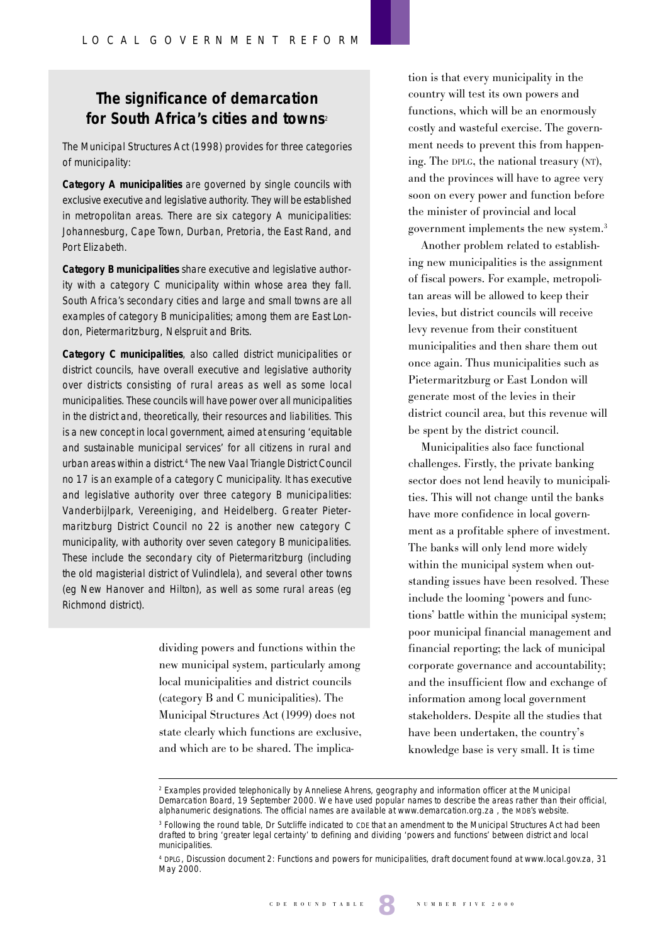# **The significance of demarcation for South Africa's cities and towns**<sup>2</sup>

The Municipal Structures Act (1998) provides for three categories of municipality:

**Category A municipalities** are governed by single councils with exclusive executive and legislative authority. They will be established in metropolitan areas. There are six category A municipalities: Johannesburg, Cape Town, Durban, Pretoria, the East Rand, and Port Elizabeth.

**Category B municipalities** share executive and legislative authority with a category C municipality within whose area they fall. South Africa's secondary cities and large and small towns are all examples of category B municipalities; among them are East London, Pietermaritzburg, Nelspruit and Brits.

**Category C municipalities**, also called district municipalities or district councils, have overall executive and legislative authority over districts consisting of rural areas as well as some local municipalities. These councils will have power over all municipalities in the district and, theoretically, their resources and liabilities. This is a new concept in local government, aimed at ensuring 'equitable and sustainable municipal services' for all citizens in rural and urban areas within a district.<sup>4</sup> The new Vaal Triangle District Council no 17 is an example of a category C municipality. It has executive and legislative authority over three category B municipalities: Vanderbijlpark, Vereeniging, and Heidelberg. Greater Pietermaritzburg District Council no 22 is another new category C municipality, with authority over seven category B municipalities. These include the secondary city of Pietermaritzburg (including the old magisterial district of Vulindlela), and several other towns (eg New Hanover and Hilton), as well as some rural areas (eg Richmond district).

> dividing powers and functions within the new municipal system, particularly among local municipalities and district councils (category B and C municipalities). The Municipal Structures Act (1999) does not state clearly which functions are exclusive, and which are to be shared. The implica-

tion is that every municipality in the country will test its own powers and functions, which will be an enormously costly and wasteful exercise. The government needs to prevent this from happening. The DPLG, the national treasury (NT), and the provinces will have to agree very soon on every power and function before the minister of provincial and local government implements the new system.3

Another problem related to establishing new municipalities is the assignment of fiscal powers. For example, metropolitan areas will be allowed to keep their levies, but district councils will receive levy revenue from their constituent municipalities and then share them out once again. Thus municipalities such as Pietermaritzburg or East London will generate most of the levies in their district council area, but this revenue will be spent by the district council.

Municipalities also face functional challenges. Firstly, the private banking sector does not lend heavily to municipalities. This will not change until the banks have more confidence in local government as a profitable sphere of investment. The banks will only lend more widely within the municipal system when outstanding issues have been resolved. These include the looming 'powers and functions' battle within the municipal system; poor municipal financial management and financial reporting; the lack of municipal corporate governance and accountability; and the insufficient flow and exchange of information among local government stakeholders. Despite all the studies that have been undertaken, the country's knowledge base is very small. It is time

<sup>2</sup> Examples provided telephonically by Anneliese Ahrens, geography and information officer at the Municipal Demarcation Board, 19 September 2000. We have used popular names to describe the areas rather than their official, alphanumeric designations. The official names are available at www.demarcation.org.za , the MDB's website.

<sup>3</sup> Following the round table, Dr Sutcliffe indicated to CDE that an amendment to the Municipal Structures Act had been drafted to bring 'greater legal certainty' to defining and dividing 'powers and functions' between district and local municipalities.

<sup>4</sup> DPLG, Discussion document 2: Functions and powers for municipalities, draft document found at www.local.gov.za, 31 May 2000.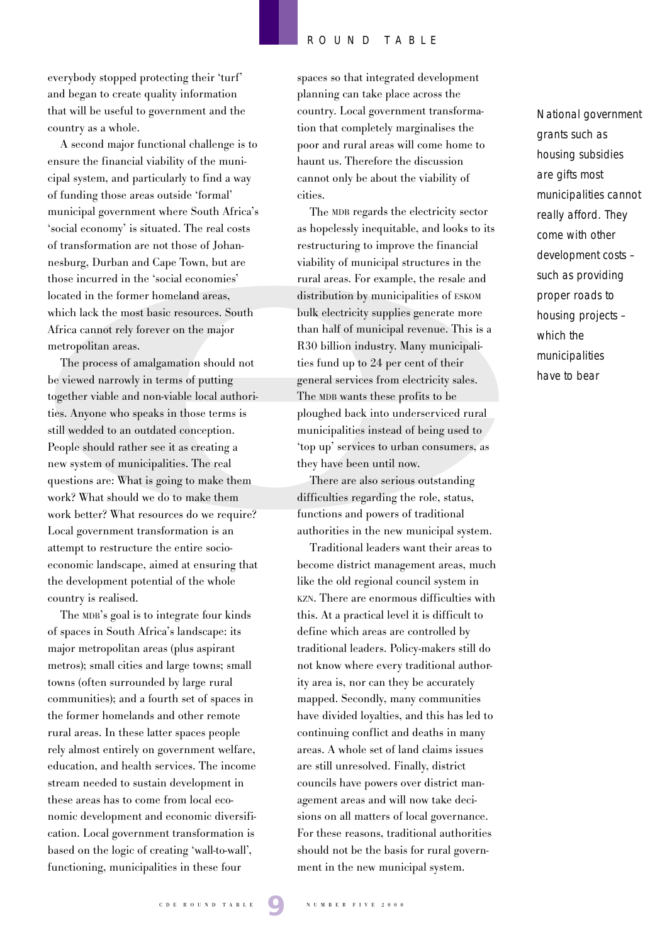everybody stopped protecting their 'turf' and began to create quality information that will be useful to government and the country as a whole.

A second major functional challenge is to ensure the financial viability of the municipal system, and particularly to find a way of funding those areas outside 'formal' municipal government where South Africa's 'social economy' is situated. The real costs of transformation are not those of Johannesburg, Durban and Cape Town, but are those incurred in the 'social economies' located in the former homeland areas, which lack the most basic resources. South Africa cannot rely forever on the major metropolitan areas.

The process of amalgamation should not be viewed narrowly in terms of putting together viable and non-viable local authorities. Anyone who speaks in those terms is still wedded to an outdated conception. People should rather see it as creating a new system of municipalities. The real questions are: What is going to make them work? What should we do to make them work better? What resources do we require? Local government transformation is an attempt to restructure the entire socioeconomic landscape, aimed at ensuring that the development potential of the whole country is realised.

The MDB's goal is to integrate four kinds of spaces in South Africa's landscape: its major metropolitan areas (plus aspirant metros); small cities and large towns; small towns (often surrounded by large rural communities); and a fourth set of spaces in the former homelands and other remote rural areas. In these latter spaces people rely almost entirely on government welfare, education, and health services. The income stream needed to sustain development in these areas has to come from local economic development and economic diversification. Local government transformation is based on the logic of creating 'wall-to-wall', functioning, municipalities in these four

spaces so that integrated development planning can take place across the country. Local government transformation that completely marginalises the poor and rural areas will come home to haunt us. Therefore the discussion cannot only be about the viability of cities.

The MDB regards the electricity sector as hopelessly inequitable, and looks to its restructuring to improve the financial viability of municipal structures in the rural areas. For example, the resale and distribution by municipalities of ESKOM bulk electricity supplies generate more than half of municipal revenue. This is a R30 billion industry. Many municipalities fund up to 24 per cent of their general services from electricity sales. The MDB wants these profits to be ploughed back into underserviced rural municipalities instead of being used to 'top up' services to urban consumers, as they have been until now.

There are also serious outstanding difficulties regarding the role, status, functions and powers of traditional authorities in the new municipal system.

Traditional leaders want their areas to become district management areas, much like the old regional council system in KZN. There are enormous difficulties with this. At a practical level it is difficult to define which areas are controlled by traditional leaders. Policy-makers still do not know where every traditional authority area is, nor can they be accurately mapped. Secondly, many communities have divided loyalties, and this has led to continuing conflict and deaths in many areas. A whole set of land claims issues are still unresolved. Finally, district councils have powers over district management areas and will now take decisions on all matters of local governance. For these reasons, traditional authorities should not be the basis for rural government in the new municipal system.

National government grants such as housing subsidies are gifts most municipalities cannot really afford. They come with other development costs – such as providing proper roads to housing projects – which the municipalities have to bear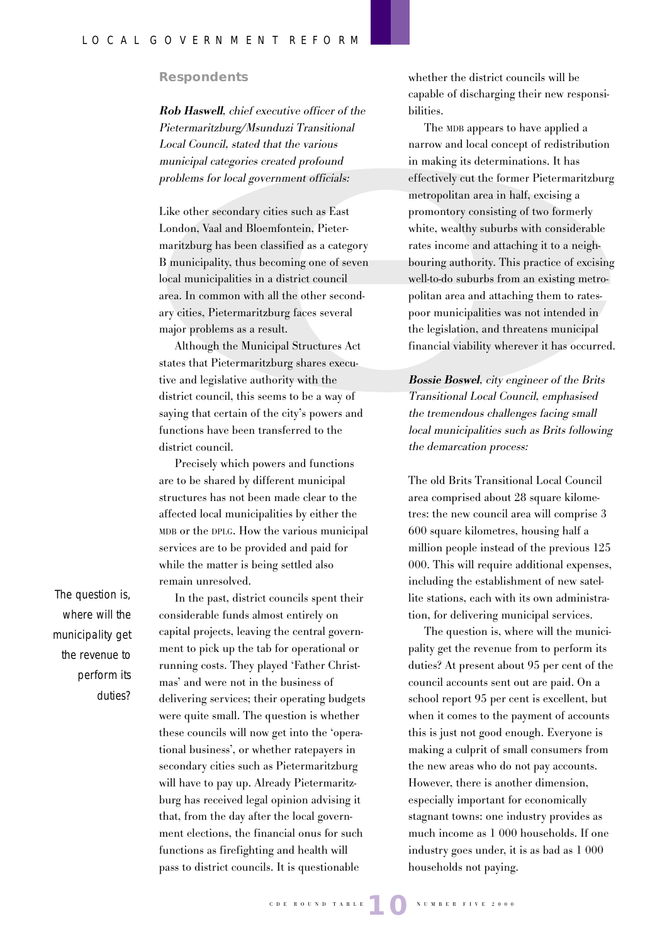#### **Respondents**

**Rob Haswell**, chief executive officer of the Pietermaritzburg/Msunduzi Transitional Local Council, stated that the various municipal categories created profound problems for local government officials:

Like other secondary cities such as East London, Vaal and Bloemfontein, Pietermaritzburg has been classified as a category B municipality, thus becoming one of seven local municipalities in a district council area. In common with all the other secondary cities, Pietermaritzburg faces several major problems as a result.

Although the Municipal Structures Act states that Pietermaritzburg shares executive and legislative authority with the district council, this seems to be a way of saying that certain of the city's powers and functions have been transferred to the district council.

Precisely which powers and functions are to be shared by different municipal structures has not been made clear to the affected local municipalities by either the MDB or the DPLG. How the various municipal services are to be provided and paid for while the matter is being settled also remain unresolved.

In the past, district councils spent their

The question is, where will the municipality get the revenue to perform its duties?

considerable funds almost entirely on capital projects, leaving the central government to pick up the tab for operational or running costs. They played 'Father Christmas' and were not in the business of delivering services; their operating budgets were quite small. The question is whether these councils will now get into the 'operational business', or whether ratepayers in secondary cities such as Pietermaritzburg will have to pay up. Already Pietermaritzburg has received legal opinion advising it that, from the day after the local government elections, the financial onus for such functions as firefighting and health will pass to district councils. It is questionable

whether the district councils will be capable of discharging their new responsibilities.

The MDB appears to have applied a narrow and local concept of redistribution in making its determinations. It has effectively cut the former Pietermaritzburg metropolitan area in half, excising a promontory consisting of two formerly white, wealthy suburbs with considerable rates income and attaching it to a neighbouring authority. This practice of excising well-to-do suburbs from an existing metropolitan area and attaching them to ratespoor municipalities was not intended in the legislation, and threatens municipal financial viability wherever it has occurred.

**Bossie Boswel**, city engineer of the Brits Transitional Local Council, emphasised the tremendous challenges facing small local municipalities such as Brits following the demarcation process:

The old Brits Transitional Local Council area comprised about 28 square kilometres: the new council area will comprise 3 600 square kilometres, housing half a million people instead of the previous 125 000. This will require additional expenses, including the establishment of new satellite stations, each with its own administration, for delivering municipal services.

The question is, where will the municipality get the revenue from to perform its duties? At present about 95 per cent of the council accounts sent out are paid. On a school report 95 per cent is excellent, but when it comes to the payment of accounts this is just not good enough. Everyone is making a culprit of small consumers from the new areas who do not pay accounts. However, there is another dimension, especially important for economically stagnant towns: one industry provides as much income as 1 000 households. If one industry goes under, it is as bad as 1 000 households not paying.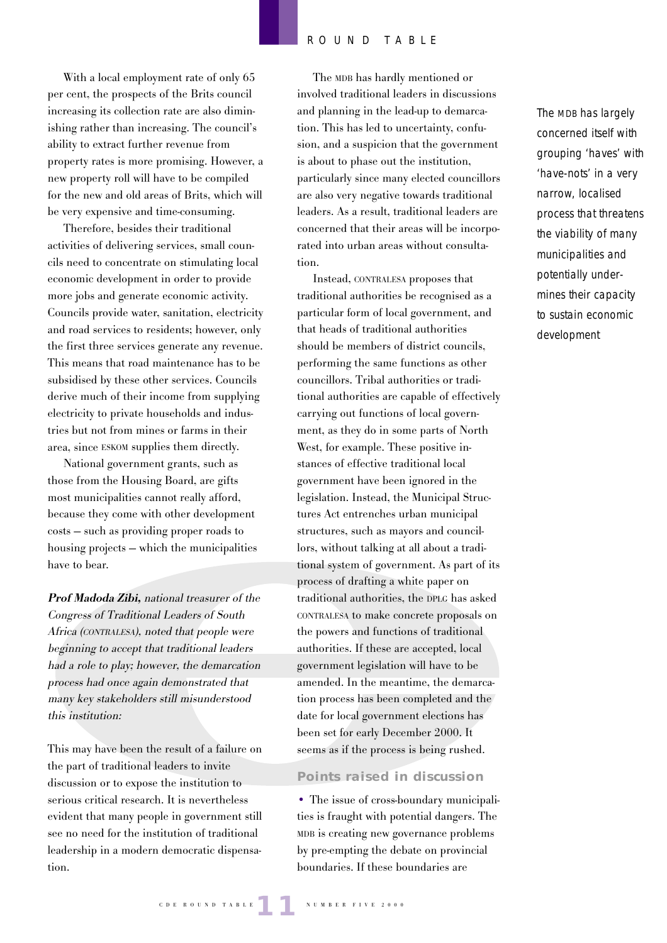With a local employment rate of only 65 per cent, the prospects of the Brits council increasing its collection rate are also diminishing rather than increasing. The council's ability to extract further revenue from property rates is more promising. However, a new property roll will have to be compiled for the new and old areas of Brits, which will be very expensive and time-consuming.

Therefore, besides their traditional activities of delivering services, small councils need to concentrate on stimulating local economic development in order to provide more jobs and generate economic activity. Councils provide water, sanitation, electricity and road services to residents; however, only the first three services generate any revenue. This means that road maintenance has to be subsidised by these other services. Councils derive much of their income from supplying electricity to private households and industries but not from mines or farms in their area, since ESKOM supplies them directly.

National government grants, such as those from the Housing Board, are gifts most municipalities cannot really afford, because they come with other development costs — such as providing proper roads to housing projects — which the municipalities have to bear.

**Prof Madoda Zibi,** national treasurer of the Congress of Traditional Leaders of South Africa (CONTRALESA), noted that people were beginning to accept that traditional leaders had a role to play; however, the demarcation process had once again demonstrated that many key stakeholders still misunderstood this institution:

This may have been the result of a failure on the part of traditional leaders to invite discussion or to expose the institution to serious critical research. It is nevertheless evident that many people in government still see no need for the institution of traditional leadership in a modern democratic dispensation.

The MDB has hardly mentioned or involved traditional leaders in discussions and planning in the lead-up to demarcation. This has led to uncertainty, confusion, and a suspicion that the government is about to phase out the institution, particularly since many elected councillors are also very negative towards traditional leaders. As a result, traditional leaders are concerned that their areas will be incorporated into urban areas without consultation.

Instead, CONTRALESA proposes that traditional authorities be recognised as a particular form of local government, and that heads of traditional authorities should be members of district councils, performing the same functions as other councillors. Tribal authorities or traditional authorities are capable of effectively carrying out functions of local government, as they do in some parts of North West, for example. These positive instances of effective traditional local government have been ignored in the legislation. Instead, the Municipal Structures Act entrenches urban municipal structures, such as mayors and councillors, without talking at all about a traditional system of government. As part of its process of drafting a white paper on traditional authorities, the DPLG has asked CONTRALESA to make concrete proposals on the powers and functions of traditional authorities. If these are accepted, local government legislation will have to be amended. In the meantime, the demarcation process has been completed and the date for local government elections has been set for early December 2000. It seems as if the process is being rushed.

#### **Points raised in discussion**

• The issue of cross-boundary municipalities is fraught with potential dangers. The MDB is creating new governance problems by pre-empting the debate on provincial boundaries. If these boundaries are

The MDB has largely concerned itself with grouping 'haves' with 'have-nots' in a very narrow, localised process that threatens the viability of many municipalities and potentially undermines their capacity to sustain economic development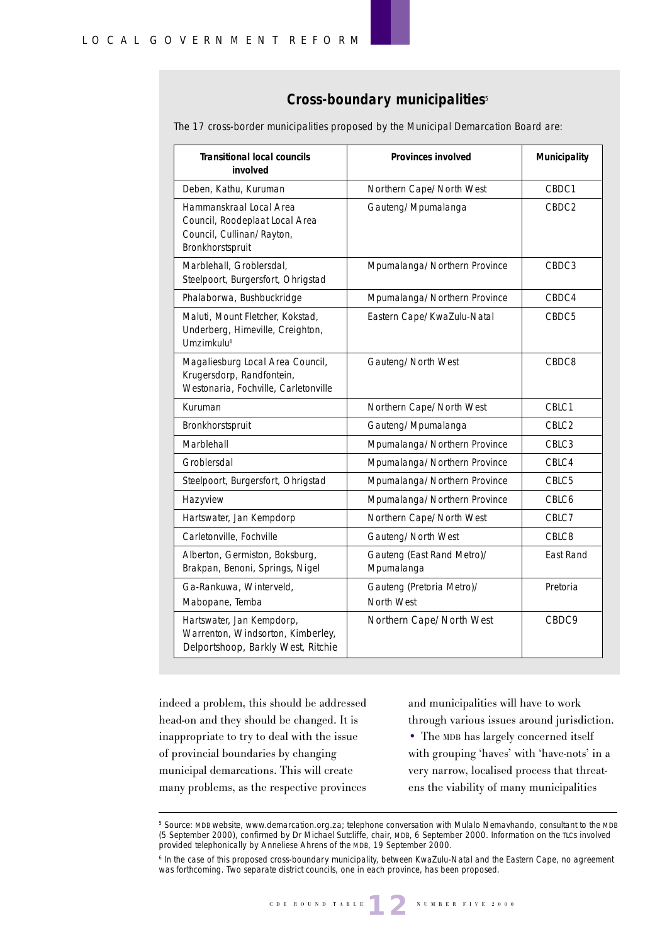### **Cross-boundary municipalities**<sup>5</sup>

|  |  |  |  |  | The 17 cross-border municipalities proposed by the Municipal Demarcation Board are: |
|--|--|--|--|--|-------------------------------------------------------------------------------------|
|--|--|--|--|--|-------------------------------------------------------------------------------------|

| <b>Transitional local councils</b><br>involved                                                             | <b>Provinces involved</b>                | Municipality      |
|------------------------------------------------------------------------------------------------------------|------------------------------------------|-------------------|
| Deben, Kathu, Kuruman                                                                                      | Northern Cape/North West                 | CBDC1             |
| Hammanskraal Local Area<br>Council, Roodeplaat Local Area<br>Council, Cullinan/Rayton,<br>Bronkhorstspruit | Gauteng/Mpumalanga                       | CBDC <sub>2</sub> |
| Marblehall, Groblersdal,<br>Steelpoort, Burgersfort, Ohrigstad                                             | Mpumalanga/Northern Province             | CBDC3             |
| Phalaborwa, Bushbuckridge                                                                                  | Mpumalanga/Northern Province             | CBDC4             |
| Maluti, Mount Fletcher, Kokstad,<br>Underberg, Himeville, Creighton,<br>Umzimkulu <sup>6</sup>             | Eastern Cape/KwaZulu-Natal               | CBDC5             |
| Magaliesburg Local Area Council,<br>Krugersdorp, Randfontein,<br>Westonaria, Fochville, Carletonville      | Gauteng/North West                       | <b>CBDC8</b>      |
| Kuruman                                                                                                    | Northern Cape/North West                 | CBLC1             |
| Bronkhorstspruit                                                                                           | Gauteng/Mpumalanga                       | CBLC <sub>2</sub> |
| Marblehall                                                                                                 | Mpumalanga/Northern Province             | CBLC3             |
| Groblersdal                                                                                                | Mpumalanga/Northern Province             | CBLC4             |
| Steelpoort, Burgersfort, Ohrigstad                                                                         | Mpumalanga/Northern Province             | CBLC5             |
| Hazyview                                                                                                   | Mpumalanga/Northern Province             | CBLC6             |
| Hartswater, Jan Kempdorp                                                                                   | Northern Cape/North West                 | CBLC7             |
| Carletonville, Fochville                                                                                   | Gauteng/North West                       | CBLC8             |
| Alberton, Germiston, Boksburg,<br>Brakpan, Benoni, Springs, Nigel                                          | Gauteng (East Rand Metro)/<br>Mpumalanga | East Rand         |
| Ga-Rankuwa, Winterveld,<br>Mabopane, Temba                                                                 | Gauteng (Pretoria Metro)/<br>North West  | Pretoria          |
| Hartswater, Jan Kempdorp,<br>Warrenton, Windsorton, Kimberley,<br>Delportshoop, Barkly West, Ritchie       | Northern Cape/North West                 | CBDC9             |

indeed a problem, this should be addressed head-on and they should be changed. It is inappropriate to try to deal with the issue of provincial boundaries by changing municipal demarcations. This will create many problems, as the respective provinces and municipalities will have to work through various issues around jurisdiction.

• The MDB has largely concerned itself with grouping 'haves' with 'have-nots' in a very narrow, localised process that threatens the viability of many municipalities

<sup>5</sup> Source: MDB website, www.demarcation.org.za; telephone conversation with Mulalo Nemavhando, consultant to the MDB (5 September 2000), confirmed by Dr Michael Sutcliffe, chair, MDB, 6 September 2000. Information on the TLCs involved provided telephonically by Anneliese Ahrens of the MDB, 19 September 2000.

<sup>&</sup>lt;sup>6</sup> In the case of this proposed cross-boundary municipality, between KwaZulu-Natal and the Eastern Cape, no agreement was forthcoming. Two separate district councils, one in each province, has been proposed.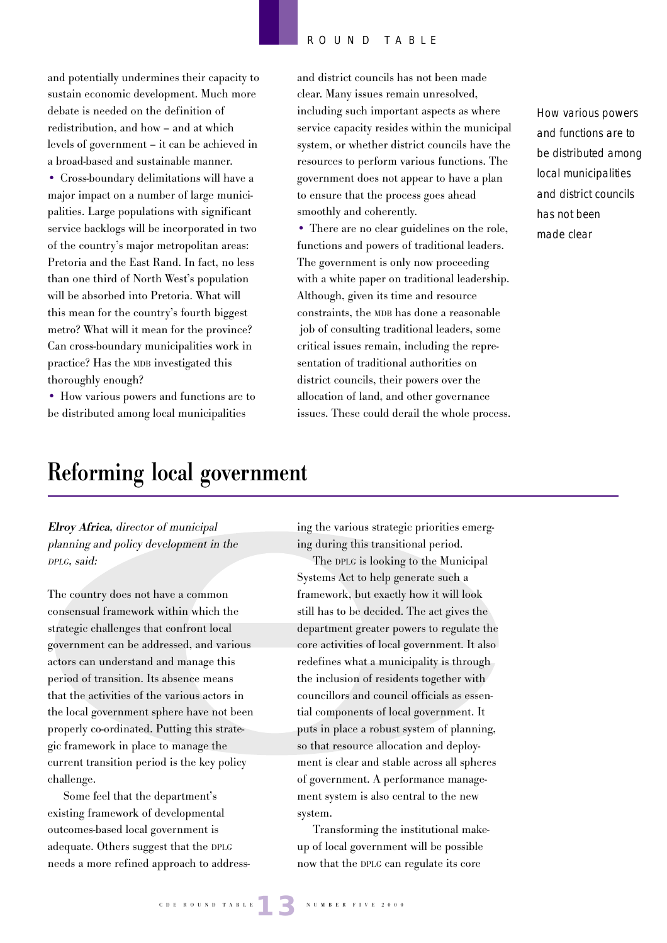and potentially undermines their capacity to sustain economic development. Much more debate is needed on the definition of redistribution, and how – and at which levels of government – it can be achieved in a broad-based and sustainable manner.

• Cross-boundary delimitations will have a major impact on a number of large municipalities. Large populations with significant service backlogs will be incorporated in two of the country's major metropolitan areas: Pretoria and the East Rand. In fact, no less than one third of North West's population will be absorbed into Pretoria. What will this mean for the country's fourth biggest metro? What will it mean for the province? Can cross-boundary municipalities work in practice? Has the MDB investigated this thoroughly enough?

• How various powers and functions are to be distributed among local municipalities

and district councils has not been made clear. Many issues remain unresolved, including such important aspects as where service capacity resides within the municipal system, or whether district councils have the resources to perform various functions. The government does not appear to have a plan to ensure that the process goes ahead smoothly and coherently.

• There are no clear guidelines on the role, functions and powers of traditional leaders. The government is only now proceeding with a white paper on traditional leadership. Although, given its time and resource constraints, the MDB has done a reasonable ␣ job of consulting traditional leaders, some critical issues remain, including the representation of traditional authorities on district councils, their powers over the allocation of land, and other governance issues. These could derail the whole process. How various powers and functions are to be distributed among local municipalities and district councils has not been made clear

# **Reforming local government**

**Elroy Africa**, director of municipal planning and policy development in the DPLG, said:

The country does not have a common consensual framework within which the strategic challenges that confront local government can be addressed, and various actors can understand and manage this period of transition. Its absence means that the activities of the various actors in the local government sphere have not been properly co-ordinated. Putting this strategic framework in place to manage the current transition period is the key policy challenge.

Some feel that the department's existing framework of developmental outcomes-based local government is adequate. Others suggest that the DPLG needs a more refined approach to addressing the various strategic priorities emerging during this transitional period.

The DPLG is looking to the Municipal Systems Act to help generate such a framework, but exactly how it will look still has to be decided. The act gives the department greater powers to regulate the core activities of local government. It also redefines what a municipality is through the inclusion of residents together with councillors and council officials as essential components of local government. It puts in place a robust system of planning, so that resource allocation and deployment is clear and stable across all spheres of government. A performance management system is also central to the new system.

Transforming the institutional makeup of local government will be possible now that the DPLG can regulate its core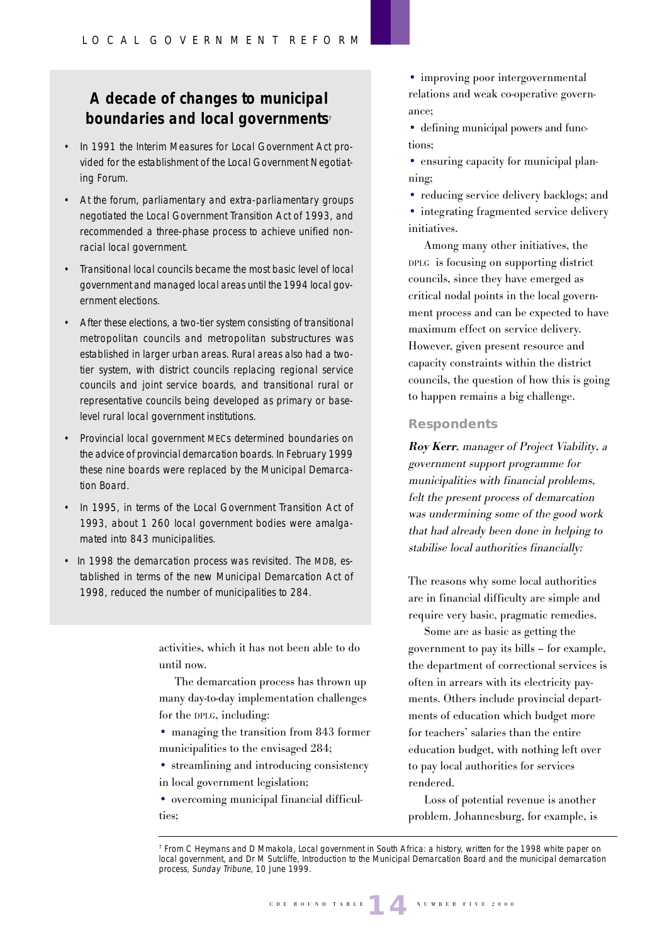# **A decade of changes to municipal boundaries and local governments**<sup>7</sup>

- In 1991 the Interim Measures for Local Government Act provided for the establishment of the Local Government Negotiating Forum.
- At the forum, parliamentary and extra-parliamentary groups negotiated the Local Government Transition Act of 1993, and recommended a three-phase process to achieve unified nonracial local government.
- Transitional local councils became the most basic level of local government and managed local areas until the 1994 local government elections.
- After these elections, a two-tier system consisting of transitional metropolitan councils and metropolitan substructures was established in larger urban areas. Rural areas also had a twotier system, with district councils replacing regional service councils and joint service boards, and transitional rural or representative councils being developed as primary or baselevel rural local government institutions.
- Provincial local government MECs determined boundaries on the advice of provincial demarcation boards. In February 1999 these nine boards were replaced by the Municipal Demarcation Board.
- In 1995, in terms of the Local Government Transition Act of 1993, about 1 260 local government bodies were amalgamated into 843 municipalities.
- In 1998 the demarcation process was revisited. The MDB, established in terms of the new Municipal Demarcation Act of 1998, reduced the number of municipalities to 284.

activities, which it has not been able to do until now.

The demarcation process has thrown up many day-to-day implementation challenges for the DPLG, including:

- managing the transition from 843 former municipalities to the envisaged 284;
- streamlining and introducing consistency
- in local government legislation;
- overcoming municipal financial difficulties;

• improving poor intergovernmental relations and weak co-operative governance;

• defining municipal powers and functions;

• ensuring capacity for municipal planning;

• reducing service delivery backlogs; and

• integrating fragmented service delivery initiatives.

Among many other initiatives, the DPLG is focusing on supporting district councils, since they have emerged as critical nodal points in the local government process and can be expected to have maximum effect on service delivery. However, given present resource and capacity constraints within the district councils, the question of how this is going to happen remains a big challenge.

#### **Respondents**

**Roy Kerr**, manager of Project Viability, a government support programme for municipalities with financial problems, felt the present process of demarcation was undermining some of the good work that had already been done in helping to stabilise local authorities financially:

The reasons why some local authorities are in financial difficulty are simple and require very basic, pragmatic remedies.

Some are as basic as getting the government to pay its bills – for example, the department of correctional services is often in arrears with its electricity payments. Others include provincial departments of education which budget more for teachers' salaries than the entire education budget, with nothing left over to pay local authorities for services rendered.

Loss of potential revenue is another problem. Johannesburg, for example, is

<sup>7</sup> From C Heymans and D Mmakola, Local government in South Africa: a history, written for the 1998 white paper on local government, and Dr M Sutcliffe, Introduction to the Municipal Demarcation Board and the municipal demarcation process, Sunday Tribune, 10 June 1999.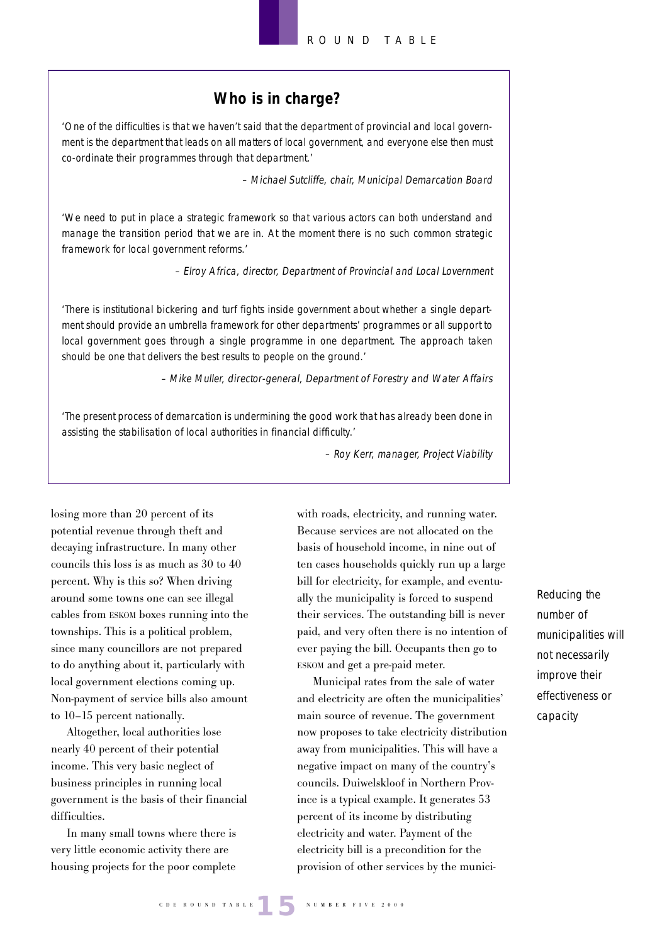# **Who is in charge?**

'One of the difficulties is that we haven't said that the department of provincial and local government is the department that leads on all matters of local government, and everyone else then must co-ordinate their programmes through that department.'

– Michael Sutcliffe, chair, Municipal Demarcation Board

'We need to put in place a strategic framework so that various actors can both understand and manage the transition period that we are in. At the moment there is no such common strategic framework for local government reforms.'

– Elroy Africa, director, Department of Provincial and Local Lovernment

'There is institutional bickering and turf fights inside government about whether a single department should provide an umbrella framework for other departments' programmes or all support to local government goes through a single programme in one department. The approach taken should be one that delivers the best results to people on the ground.'

– Mike Muller, director-general, Department of Forestry and Water Affairs

'The present process of demarcation is undermining the good work that has already been done in assisting the stabilisation of local authorities in financial difficulty.'

– Roy Kerr, manager, Project Viability

losing more than 20 percent of its potential revenue through theft and decaying infrastructure. In many other councils this loss is as much as 30 to 40 percent. Why is this so? When driving around some towns one can see illegal cables from ESKOM boxes running into the townships. This is a political problem, since many councillors are not prepared to do anything about it, particularly with local government elections coming up. Non-payment of service bills also amount to 10–15 percent nationally.

Altogether, local authorities lose nearly 40 percent of their potential income. This very basic neglect of business principles in running local government is the basis of their financial difficulties.

In many small towns where there is very little economic activity there are housing projects for the poor complete

with roads, electricity, and running water. Because services are not allocated on the basis of household income, in nine out of ten cases households quickly run up a large bill for electricity, for example, and eventually the municipality is forced to suspend their services. The outstanding bill is never paid, and very often there is no intention of ever paying the bill. Occupants then go to ESKOM and get a pre-paid meter.

Municipal rates from the sale of water and electricity are often the municipalities' main source of revenue. The government now proposes to take electricity distribution away from municipalities. This will have a negative impact on many of the country's councils. Duiwelskloof in Northern Province is a typical example. It generates 53 percent of its income by distributing electricity and water. Payment of the electricity bill is a precondition for the provision of other services by the municiReducing the number of municipalities will not necessarily improve their effectiveness or capacity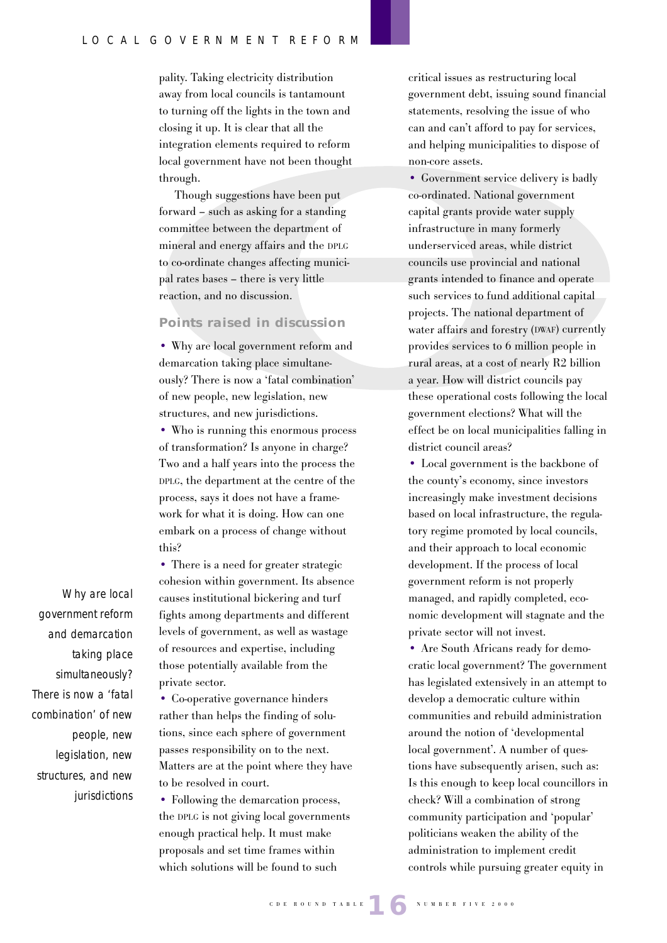pality. Taking electricity distribution away from local councils is tantamount to turning off the lights in the town and closing it up. It is clear that all the integration elements required to reform local government have not been thought through.

Though suggestions have been put forward – such as asking for a standing committee between the department of mineral and energy affairs and the DPLG to co-ordinate changes affecting municipal rates bases – there is very little reaction, and no discussion.

#### **Points raised in discussion**

• Why are local government reform and demarcation taking place simultaneously? There is now a 'fatal combination' of new people, new legislation, new structures, and new jurisdictions.

• Who is running this enormous process of transformation? Is anyone in charge? Two and a half years into the process the DPLG, the department at the centre of the process, says it does not have a framework for what it is doing. How can one embark on a process of change without this?

• There is a need for greater strategic cohesion within government. Its absence causes institutional bickering and turf fights among departments and different levels of government, as well as wastage of resources and expertise, including those potentially available from the private sector.

• Co-operative governance hinders rather than helps the finding of solutions, since each sphere of government passes responsibility on to the next. Matters are at the point where they have to be resolved in court.

• Following the demarcation process, the DPLG is not giving local governments enough practical help. It must make proposals and set time frames within which solutions will be found to such

critical issues as restructuring local government debt, issuing sound financial statements, resolving the issue of who can and can't afford to pay for services, and helping municipalities to dispose of non-core assets.

• Government service delivery is badly co-ordinated. National government capital grants provide water supply infrastructure in many formerly underserviced areas, while district councils use provincial and national grants intended to finance and operate such services to fund additional capital projects. The national department of water affairs and forestry (DWAF) currently provides services to 6 million people in rural areas, at a cost of nearly R2 billion a year. How will district councils pay these operational costs following the local government elections? What will the effect be on local municipalities falling in district council areas?

• Local government is the backbone of the county's economy, since investors increasingly make investment decisions based on local infrastructure, the regulatory regime promoted by local councils, and their approach to local economic development. If the process of local government reform is not properly managed, and rapidly completed, economic development will stagnate and the private sector will not invest.

• Are South Africans ready for democratic local government? The government has legislated extensively in an attempt to develop a democratic culture within communities and rebuild administration around the notion of 'developmental local government'. A number of questions have subsequently arisen, such as: Is this enough to keep local councillors in check? Will a combination of strong community participation and 'popular' politicians weaken the ability of the administration to implement credit controls while pursuing greater equity in

Why are local government reform and demarcation taking place simultaneously? There is now a 'fatal combination' of new people, new legislation, new structures, and new iurisdictions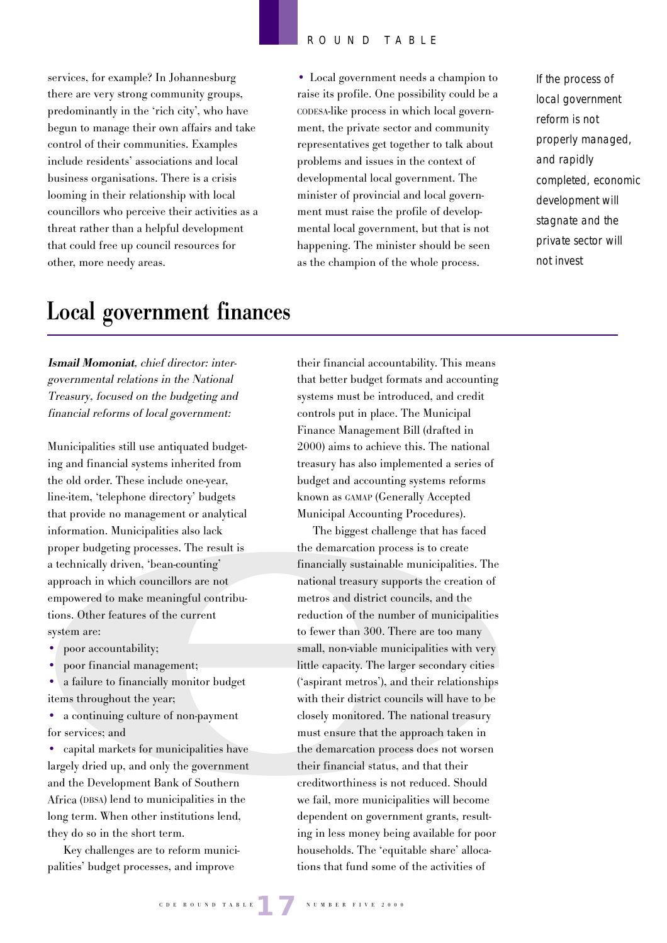services, for example? In Johannesburg there are very strong community groups, predominantly in the 'rich city', who have begun to manage their own affairs and take control of their communities. Examples include residents' associations and local business organisations. There is a crisis looming in their relationship with local councillors who perceive their activities as a threat rather than a helpful development that could free up council resources for other, more needy areas.

• Local government needs a champion to raise its profile. One possibility could be a CODESA-like process in which local government, the private sector and community representatives get together to talk about problems and issues in the context of developmental local government. The minister of provincial and local government must raise the profile of developmental local government, but that is not happening. The minister should be seen as the champion of the whole process.

If the process of local government reform is not properly managed, and rapidly completed, economic development will stagnate and the private sector will not invest

# **Local government finances**

**Ismail Momoniat**, chief director: intergovernmental relations in the National Treasury, focused on the budgeting and financial reforms of local government:

Municipalities still use antiquated budgeting and financial systems inherited from the old order. These include one-year, line-item, 'telephone directory' budgets that provide no management or analytical information. Municipalities also lack proper budgeting processes. The result is a technically driven, 'bean-counting' approach in which councillors are not empowered to make meaningful contributions. Other features of the current system are:

- poor accountability;
- poor financial management;
- a failure to financially monitor budget items throughout the year;
- a continuing culture of non-payment for services; and

• capital markets for municipalities have largely dried up, and only the government and the Development Bank of Southern Africa (DBSA) lend to municipalities in the long term. When other institutions lend, they do so in the short term.

Key challenges are to reform municipalities' budget processes, and improve

their financial accountability. This means that better budget formats and accounting systems must be introduced, and credit controls put in place. The Municipal Finance Management Bill (drafted in 2000) aims to achieve this. The national treasury has also implemented a series of budget and accounting systems reforms known as GAMAP (Generally Accepted Municipal Accounting Procedures).

The biggest challenge that has faced the demarcation process is to create financially sustainable municipalities. The national treasury supports the creation of metros and district councils, and the reduction of the number of municipalities to fewer than 300. There are too many small, non-viable municipalities with very little capacity. The larger secondary cities ('aspirant metros'), and their relationships with their district councils will have to be closely monitored. The national treasury must ensure that the approach taken in the demarcation process does not worsen their financial status, and that their creditworthiness is not reduced. Should we fail, more municipalities will become dependent on government grants, resulting in less money being available for poor households. The 'equitable share' allocations that fund some of the activities of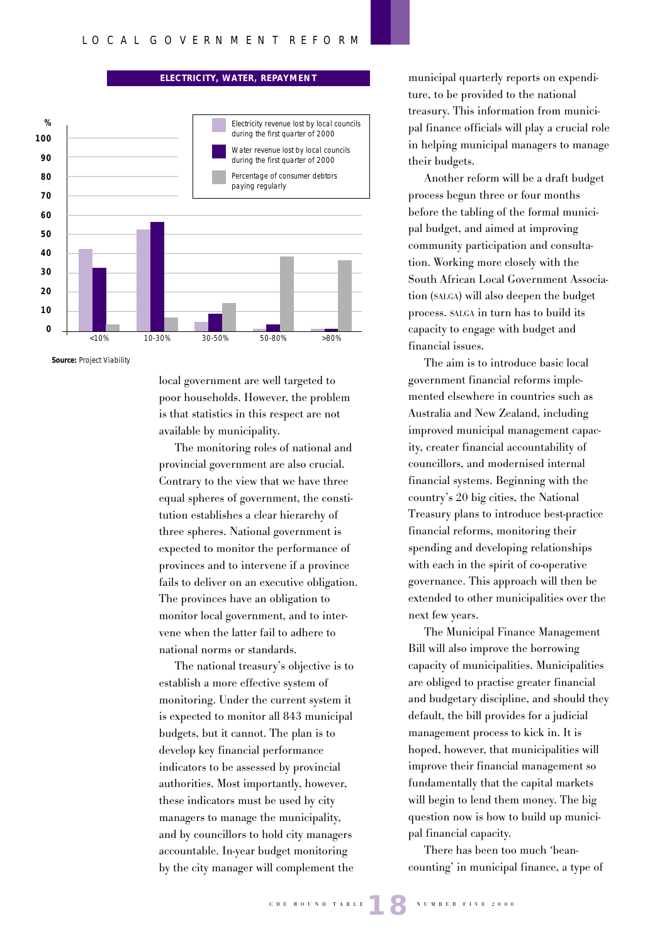

**ELECTRICITY, WATER, REPAYMENT**

**Source:** Project Viability

local government are well targeted to poor households. However, the problem is that statistics in this respect are not available by municipality.

The monitoring roles of national and provincial government are also crucial. Contrary to the view that we have three equal spheres of government, the constitution establishes a clear hierarchy of three spheres. National government is expected to monitor the performance of provinces and to intervene if a province fails to deliver on an executive obligation. The provinces have an obligation to monitor local government, and to intervene when the latter fail to adhere to national norms or standards.

The national treasury's objective is to establish a more effective system of monitoring. Under the current system it is expected to monitor all 843 municipal budgets, but it cannot. The plan is to develop key financial performance indicators to be assessed by provincial authorities. Most importantly, however, these indicators must be used by city managers to manage the municipality, and by councillors to hold city managers accountable. In-year budget monitoring by the city manager will complement the

municipal quarterly reports on expenditure, to be provided to the national treasury. This information from municipal finance officials will play a crucial role in helping municipal managers to manage their budgets.

Another reform will be a draft budget process begun three or four months before the tabling of the formal municipal budget, and aimed at improving community participation and consultation. Working more closely with the South African Local Government Association (SALGA) will also deepen the budget process. SALGA in turn has to build its capacity to engage with budget and financial issues.

The aim is to introduce basic local government financial reforms implemented elsewhere in countries such as Australia and New Zealand, including improved municipal management capacity, creater financial accountability of councillors, and modernised internal financial systems. Beginning with the country's 20 big cities, the National Treasury plans to introduce best-practice financial reforms, monitoring their spending and developing relationships with each in the spirit of co-operative governance. This approach will then be extended to other municipalities over the next few years.

The Municipal Finance Management Bill will also improve the borrowing capacity of municipalities. Municipalities are obliged to practise greater financial and budgetary discipline, and should they default, the bill provides for a judicial management process to kick in. It is hoped, however, that municipalities will improve their financial management so fundamentally that the capital markets will begin to lend them money. The big question now is how to build up municipal financial capacity.

There has been too much 'beancounting' in municipal finance, a type of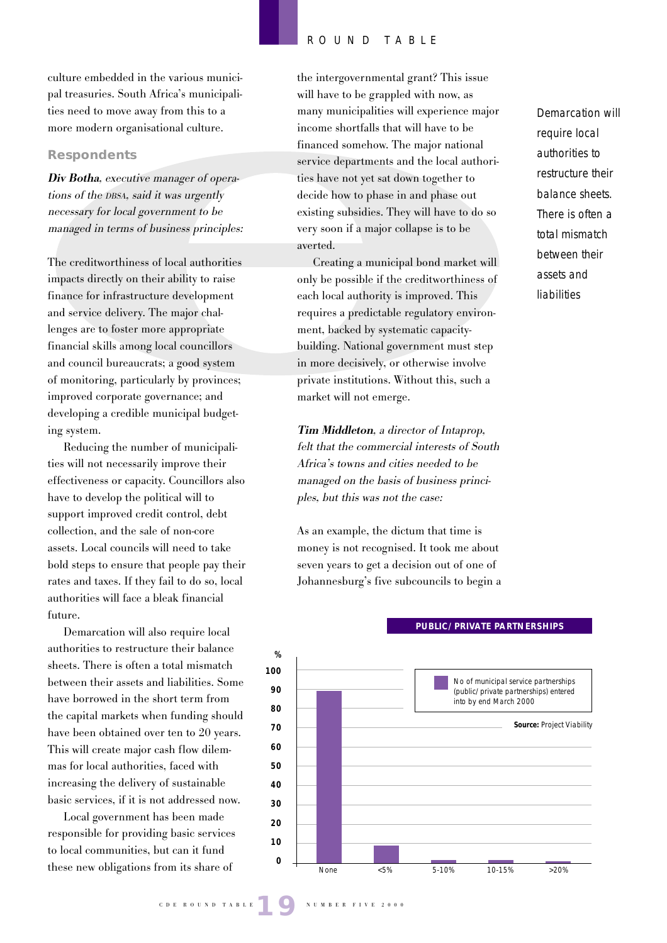culture embedded in the various municipal treasuries. South Africa's municipalities need to move away from this to a more modern organisational culture.

#### **Respondents**

**Div Botha**, executive manager of operations of the DBSA, said it was urgently necessary for local government to be managed in terms of business principles:

The creditworthiness of local authorities impacts directly on their ability to raise finance for infrastructure development and service delivery. The major challenges are to foster more appropriate financial skills among local councillors and council bureaucrats; a good system of monitoring, particularly by provinces; improved corporate governance; and developing a credible municipal budgeting system.

Reducing the number of municipalities will not necessarily improve their effectiveness or capacity. Councillors also have to develop the political will to support improved credit control, debt collection, and the sale of non-core assets. Local councils will need to take bold steps to ensure that people pay their rates and taxes. If they fail to do so, local authorities will face a bleak financial future.

Demarcation will also require local authorities to restructure their balance sheets. There is often a total mismatch between their assets and liabilities. Some have borrowed in the short term from the capital markets when funding should have been obtained over ten to 20 years. This will create major cash flow dilemmas for local authorities, faced with increasing the delivery of sustainable basic services, if it is not addressed now.

Local government has been made responsible for providing basic services to local communities, but can it fund these new obligations from its share of

the intergovernmental grant? This issue will have to be grappled with now, as many municipalities will experience major income shortfalls that will have to be financed somehow. The major national service departments and the local authorities have not yet sat down together to decide how to phase in and phase out existing subsidies. They will have to do so very soon if a major collapse is to be averted.

Creating a municipal bond market will only be possible if the creditworthiness of each local authority is improved. This requires a predictable regulatory environment, backed by systematic capacitybuilding. National government must step in more decisively, or otherwise involve private institutions. Without this, such a market will not emerge.

**Tim Middleton**, a director of Intaprop, felt that the commercial interests of South Africa's towns and cities needed to be managed on the basis of business principles, but this was not the case:

As an example, the dictum that time is money is not recognised. It took me about seven years to get a decision out of one of Johannesburg's five subcouncils to begin a



#### **PUBLIC/PRIVATE PARTNERSHIPS**

Demarcation will require local authorities to restructure their balance sheets. There is often a total mismatch between their assets and liabilities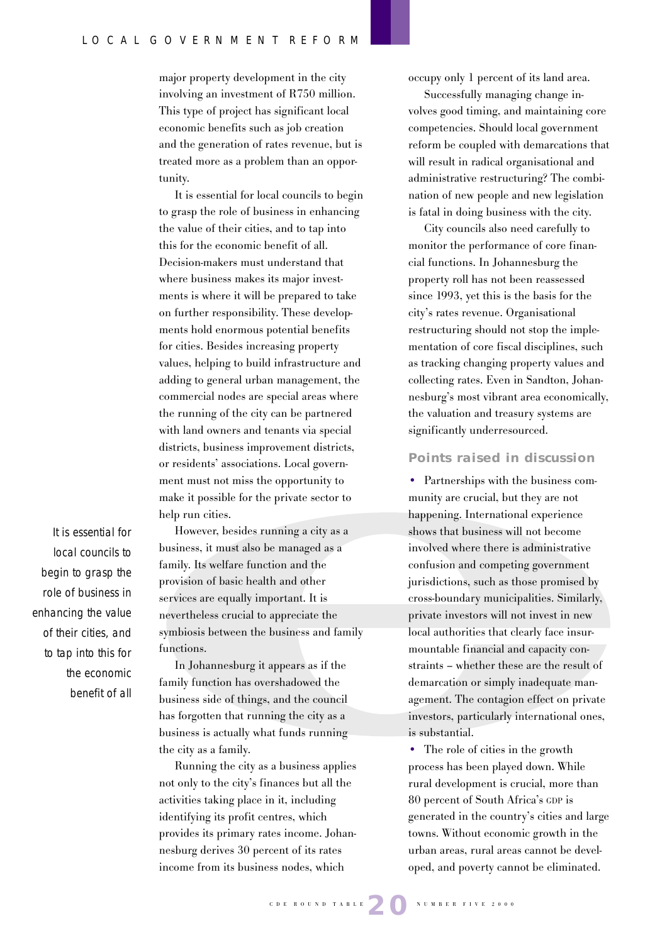major property development in the city involving an investment of R750 million. This type of project has significant local economic benefits such as job creation and the generation of rates revenue, but is treated more as a problem than an opportunity.

It is essential for local councils to begin to grasp the role of business in enhancing the value of their cities, and to tap into this for the economic benefit of all. Decision-makers must understand that where business makes its major investments is where it will be prepared to take on further responsibility. These developments hold enormous potential benefits for cities. Besides increasing property values, helping to build infrastructure and adding to general urban management, the commercial nodes are special areas where the running of the city can be partnered with land owners and tenants via special districts, business improvement districts, or residents' associations. Local government must not miss the opportunity to make it possible for the private sector to help run cities.

It is essential for local councils to begin to grasp the role of business in enhancing the value of their cities, and to tap into this for the economic benefit of all

However, besides running a city as a business, it must also be managed as a family. Its welfare function and the provision of basic health and other services are equally important. It is nevertheless crucial to appreciate the symbiosis between the business and family functions.

In Johannesburg it appears as if the family function has overshadowed the business side of things, and the council has forgotten that running the city as a business is actually what funds running the city as a family.

Running the city as a business applies not only to the city's finances but all the activities taking place in it, including identifying its profit centres, which provides its primary rates income. Johannesburg derives 30 percent of its rates income from its business nodes, which

occupy only 1 percent of its land area.

Successfully managing change involves good timing, and maintaining core competencies. Should local government reform be coupled with demarcations that will result in radical organisational and administrative restructuring? The combination of new people and new legislation is fatal in doing business with the city.

City councils also need carefully to monitor the performance of core financial functions. In Johannesburg the property roll has not been reassessed since 1993, yet this is the basis for the city's rates revenue. Organisational restructuring should not stop the implementation of core fiscal disciplines, such as tracking changing property values and collecting rates. Even in Sandton, Johannesburg's most vibrant area economically, the valuation and treasury systems are significantly underresourced.

#### **Points raised in discussion**

• Partnerships with the business community are crucial, but they are not happening. International experience shows that business will not become involved where there is administrative confusion and competing government jurisdictions, such as those promised by cross-boundary municipalities. Similarly, private investors will not invest in new local authorities that clearly face insurmountable financial and capacity constraints – whether these are the result of demarcation or simply inadequate management. The contagion effect on private investors, particularly international ones, is substantial.

• The role of cities in the growth process has been played down. While rural development is crucial, more than 80 percent of South Africa's GDP is generated in the country's cities and large towns. Without economic growth in the urban areas, rural areas cannot be developed, and poverty cannot be eliminated.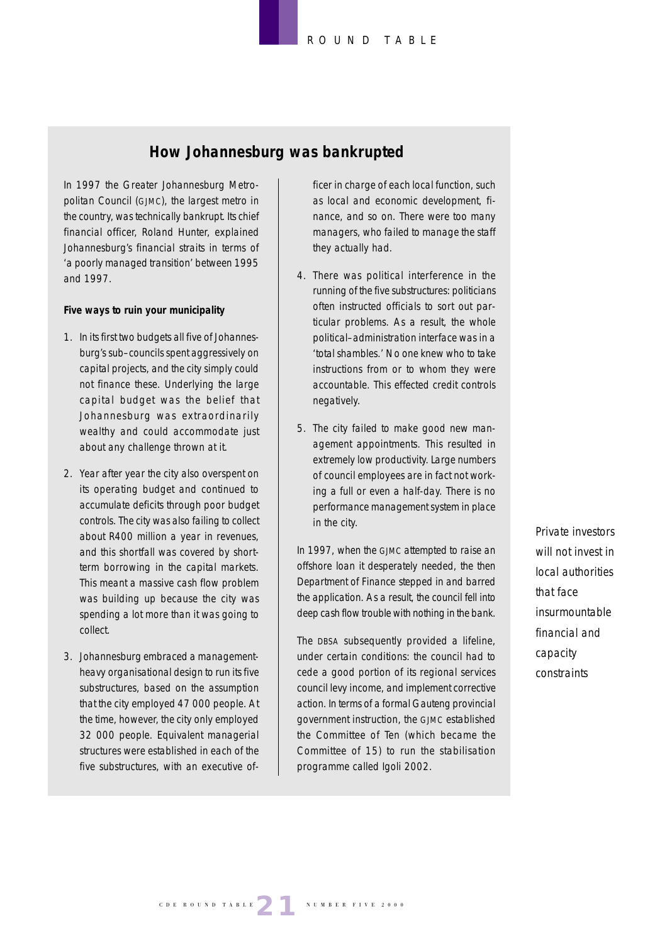# **How Johannesburg was bankrupted**

In 1997 the Greater Johannesburg Metropolitan Council (GJMC), the largest metro in the country, was technically bankrupt. Its chief financial officer, Roland Hunter, explained Johannesburg's financial straits in terms of 'a poorly managed transition' between 1995 and 1997.

#### **Five ways to ruin your municipality**

- 1. In its first two budgets all five of Johannesburg's sub–councils spent aggressively on capital projects, and the city simply could not finance these. Underlying the large capital budget was the belief that Johannesburg was extraordinarily wealthy and could accommodate just about any challenge thrown at it.
- 2. Year after year the city also overspent on its operating budget and continued to accumulate deficits through poor budget controls. The city was also failing to collect about R400 million a year in revenues, and this shortfall was covered by shortterm borrowing in the capital markets. This meant a massive cash flow problem was building up because the city was spending a lot more than it was going to collect.
- 3. Johannesburg embraced a managementheavy organisational design to run its five substructures, based on the assumption that the city employed 47 000 people. At the time, however, the city only employed 32 000 people. Equivalent managerial structures were established in each of the five substructures, with an executive of-

ficer in charge of each local function, such as local and economic development, finance, and so on. There were too many managers, who failed to manage the staff they actually had.

- 4. There was political interference in the running of the five substructures: politicians often instructed officials to sort out particular problems. As a result, the whole political–administration interface was in a 'total shambles.' No one knew who to take instructions from or to whom they were accountable. This effected credit controls negatively.
- 5. The city failed to make good new management appointments. This resulted in extremely low productivity. Large numbers of council employees are in fact not working a full or even a half-day. There is no performance management system in place in the city.

In 1997, when the GJMC attempted to raise an offshore loan it desperately needed, the then Department of Finance stepped in and barred the application. As a result, the council fell into deep cash flow trouble with nothing in the bank.

The DBSA subsequently provided a lifeline, under certain conditions: the council had to cede a good portion of its regional services council levy income, and implement corrective action. In terms of a formal Gauteng provincial government instruction, the GJMC established the Committee of Ten (which became the Committee of 15) to run the stabilisation programme called Igoli 2002.

Private investors will not invest in local authorities that face insurmountable financial and capacity constraints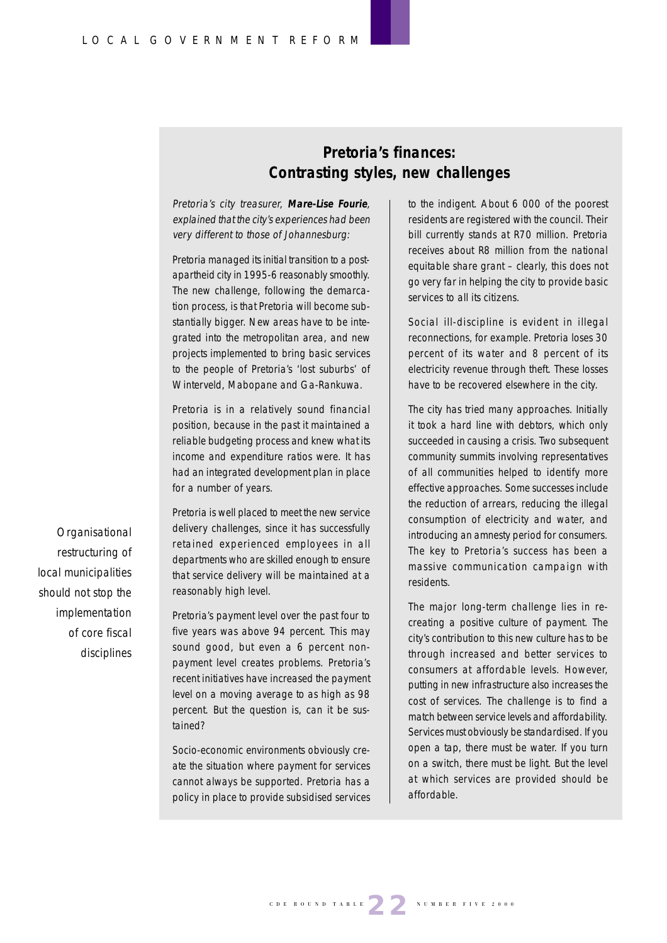# **Pretoria's finances: Contrasting styles, new challenges**

Pretoria's city treasurer, **Mare-Lise Fourie**, explained that the city's experiences had been very different to those of Johannesburg:

Pretoria managed its initial transition to a postapartheid city in 1995-6 reasonably smoothly. The new challenge, following the demarcation process, is that Pretoria will become substantially bigger. New areas have to be integrated into the metropolitan area, and new projects implemented to bring basic services to the people of Pretoria's 'lost suburbs' of Winterveld, Mabopane and Ga-Rankuwa.

Pretoria is in a relatively sound financial position, because in the past it maintained a reliable budgeting process and knew what its income and expenditure ratios were. It has had an integrated development plan in place for a number of years.

Pretoria is well placed to meet the new service delivery challenges, since it has successfully retained experienced employees in all departments who are skilled enough to ensure that service delivery will be maintained at a reasonably high level.

Pretoria's payment level over the past four to five years was above 94 percent. This may sound good, but even a 6 percent nonpayment level creates problems. Pretoria's recent initiatives have increased the payment level on a moving average to as high as 98 percent. But the question is, can it be sustained?

Socio-economic environments obviously create the situation where payment for services cannot always be supported. Pretoria has a policy in place to provide subsidised services to the indigent. About 6 000 of the poorest residents are registered with the council. Their bill currently stands at R70 million. Pretoria receives about R8 million from the national equitable share grant – clearly, this does not go very far in helping the city to provide basic services to all its citizens.

Social ill-discipline is evident in illegal reconnections, for example. Pretoria loses 30 percent of its water and 8 percent of its electricity revenue through theft. These losses have to be recovered elsewhere in the city.

The city has tried many approaches. Initially it took a hard line with debtors, which only succeeded in causing a crisis. Two subsequent community summits involving representatives of all communities helped to identify more effective approaches. Some successes include the reduction of arrears, reducing the illegal consumption of electricity and water, and introducing an amnesty period for consumers. The key to Pretoria's success has been a massive communication campaign with residents.

The major long-term challenge lies in recreating a positive culture of payment. The city's contribution to this new culture has to be through increased and better services to consumers at affordable levels. However, putting in new infrastructure also increases the cost of services. The challenge is to find a match between service levels and affordability. Services must obviously be standardised. If you open a tap, there must be water. If you turn on a switch, there must be light. But the level at which services are provided should be affordable.

Organisational restructuring of local municipalities should not stop the implementation of core fiscal disciplines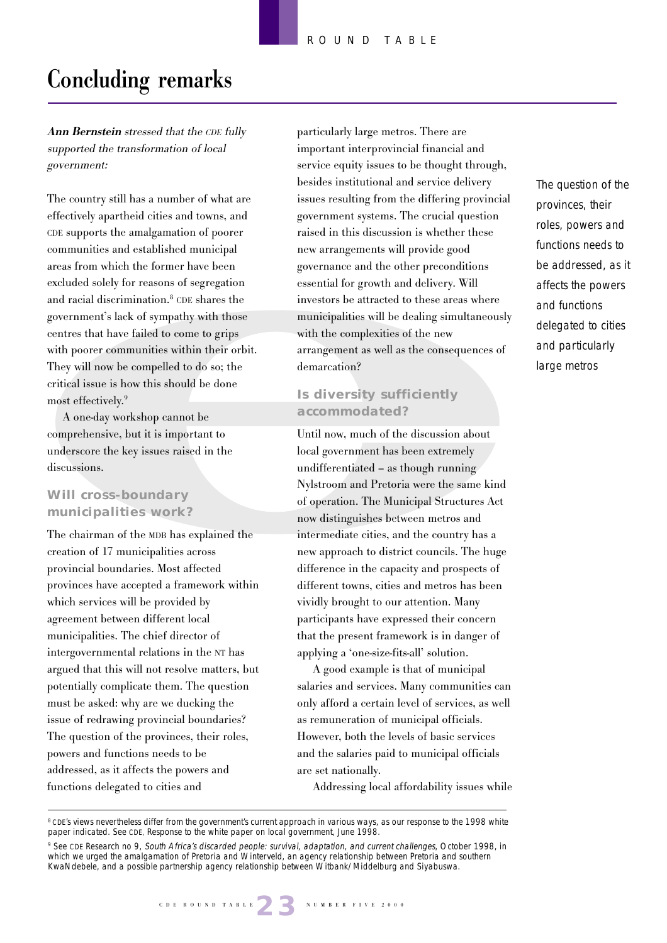# **Concluding remarks**

**Ann Bernstein** stressed that the CDE fully supported the transformation of local government:

The country still has a number of what are effectively apartheid cities and towns, and CDE supports the amalgamation of poorer communities and established municipal areas from which the former have been excluded solely for reasons of segregation and racial discrimination.8 CDE shares the government's lack of sympathy with those centres that have failed to come to grips with poorer communities within their orbit. They will now be compelled to do so; the critical issue is how this should be done most effectively.<sup>9</sup>

A one-day workshop cannot be comprehensive, but it is important to underscore the key issues raised in the discussions.

# **Will cross-boundary municipalities work?**

The chairman of the MDB has explained the creation of 17 municipalities across provincial boundaries. Most affected provinces have accepted a framework within which services will be provided by agreement between different local municipalities. The chief director of intergovernmental relations in the NT has argued that this will not resolve matters, but potentially complicate them. The question must be asked: why are we ducking the issue of redrawing provincial boundaries? The question of the provinces, their roles, powers and functions needs to be addressed, as it affects the powers and functions delegated to cities and

particularly large metros. There are important interprovincial financial and service equity issues to be thought through, besides institutional and service delivery issues resulting from the differing provincial government systems. The crucial question raised in this discussion is whether these new arrangements will provide good governance and the other preconditions essential for growth and delivery. Will investors be attracted to these areas where municipalities will be dealing simultaneously with the complexities of the new arrangement as well as the consequences of demarcation?

# **Is diversity sufficiently accommodated?**

Until now, much of the discussion about local government has been extremely undifferentiated – as though running Nylstroom and Pretoria were the same kind of operation. The Municipal Structures Act now distinguishes between metros and intermediate cities, and the country has a new approach to district councils. The huge difference in the capacity and prospects of different towns, cities and metros has been vividly brought to our attention. Many participants have expressed their concern that the present framework is in danger of applying a 'one-size-fits-all' solution.

A good example is that of municipal salaries and services. Many communities can only afford a certain level of services, as well as remuneration of municipal officials. However, both the levels of basic services and the salaries paid to municipal officials are set nationally.

Addressing local affordability issues while

The question of the provinces, their roles, powers and functions needs to be addressed, as it affects the powers and functions delegated to cities and particularly large metros

<sup>&</sup>lt;sup>8</sup> CDE's views nevertheless differ from the government's current approach in various ways, as our response to the 1998 white paper indicated. See CDE, Response to the white paper on local government, June 1998.

<sup>9</sup> See CDE Research no 9, South Africa's discarded people: survival, adaptation, and current challenges, October 1998, in which we urged the amalgamation of Pretoria and Winterveld, an agency relationship between Pretoria and southern KwaNdebele, and a possible partnership agency relationship between Witbank/Middelburg and Siyabuswa.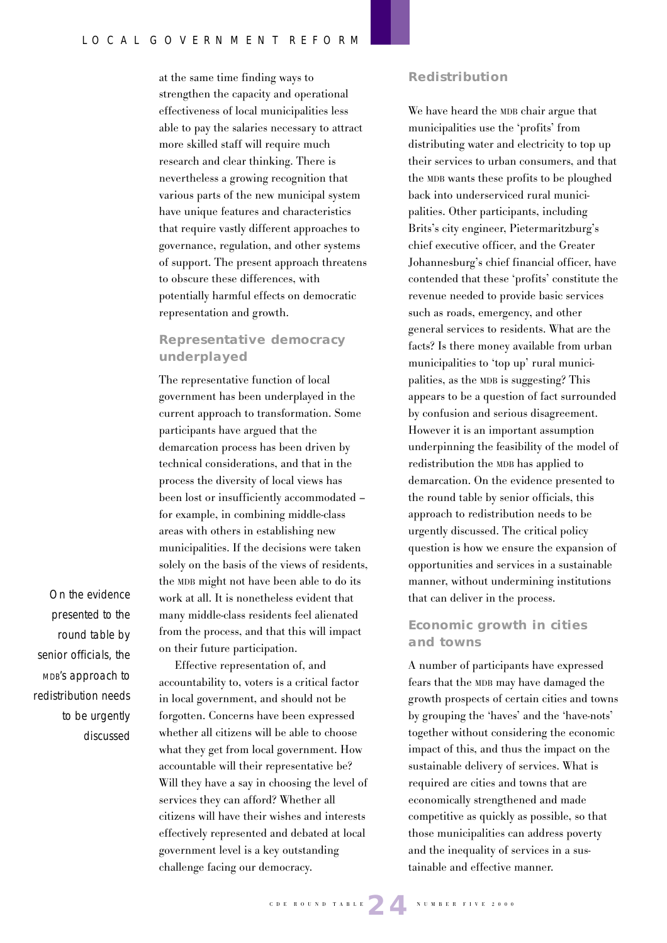at the same time finding ways to strengthen the capacity and operational effectiveness of local municipalities less able to pay the salaries necessary to attract more skilled staff will require much research and clear thinking. There is nevertheless a growing recognition that various parts of the new municipal system have unique features and characteristics that require vastly different approaches to governance, regulation, and other systems of support. The present approach threatens to obscure these differences, with potentially harmful effects on democratic representation and growth.

# **Representative democracy underplayed**

The representative function of local government has been underplayed in the current approach to transformation. Some participants have argued that the demarcation process has been driven by technical considerations, and that in the process the diversity of local views has been lost or insufficiently accommodated – for example, in combining middle-class areas with others in establishing new municipalities. If the decisions were taken solely on the basis of the views of residents, the MDB might not have been able to do its work at all. It is nonetheless evident that many middle-class residents feel alienated from the process, and that this will impact on their future participation.

Effective representation of, and accountability to, voters is a critical factor in local government, and should not be forgotten. Concerns have been expressed whether all citizens will be able to choose what they get from local government. How accountable will their representative be? Will they have a say in choosing the level of services they can afford? Whether all citizens will have their wishes and interests effectively represented and debated at local government level is a key outstanding challenge facing our democracy.

#### **Redistribution**

We have heard the MDB chair argue that municipalities use the 'profits' from distributing water and electricity to top up their services to urban consumers, and that the MDB wants these profits to be ploughed back into underserviced rural municipalities. Other participants, including Brits's city engineer, Pietermaritzburg's chief executive officer, and the Greater Johannesburg's chief financial officer, have contended that these 'profits' constitute the revenue needed to provide basic services such as roads, emergency, and other general services to residents. What are the facts? Is there money available from urban municipalities to 'top up' rural municipalities, as the MDB is suggesting? This appears to be a question of fact surrounded by confusion and serious disagreement. However it is an important assumption underpinning the feasibility of the model of redistribution the MDB has applied to demarcation. On the evidence presented to the round table by senior officials, this approach to redistribution needs to be urgently discussed. The critical policy question is how we ensure the expansion of opportunities and services in a sustainable manner, without undermining institutions that can deliver in the process.

#### **Economic growth in cities and towns**

A number of participants have expressed fears that the MDB may have damaged the growth prospects of certain cities and towns by grouping the 'haves' and the 'have-nots' together without considering the economic impact of this, and thus the impact on the sustainable delivery of services. What is required are cities and towns that are economically strengthened and made competitive as quickly as possible, so that those municipalities can address poverty and the inequality of services in a sustainable and effective manner.

On the evidence presented to the round table by senior officials, the MDB's approach to redistribution needs to be urgently discussed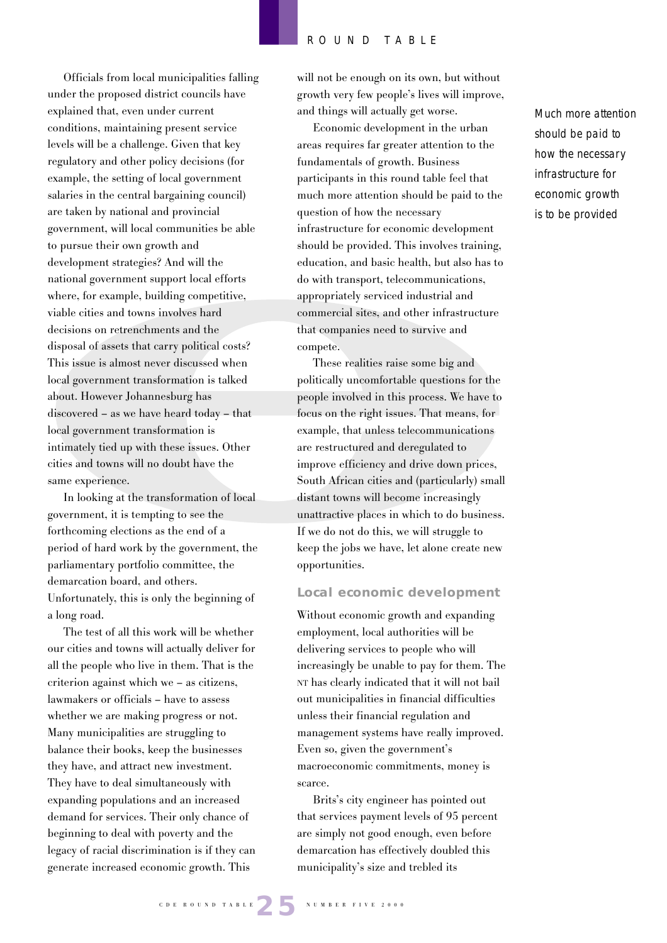Officials from local municipalities falling under the proposed district councils have explained that, even under current conditions, maintaining present service levels will be a challenge. Given that key regulatory and other policy decisions (for example, the setting of local government salaries in the central bargaining council) are taken by national and provincial government, will local communities be able to pursue their own growth and development strategies? And will the national government support local efforts where, for example, building competitive, viable cities and towns involves hard decisions on retrenchments and the disposal of assets that carry political costs? This issue is almost never discussed when local government transformation is talked about. However Johannesburg has discovered – as we have heard today – that local government transformation is intimately tied up with these issues. Other cities and towns will no doubt have the same experience.

In looking at the transformation of local government, it is tempting to see the forthcoming elections as the end of a period of hard work by the government, the parliamentary portfolio committee, the demarcation board, and others. Unfortunately, this is only the beginning of a long road.

The test of all this work will be whether our cities and towns will actually deliver for all the people who live in them. That is the criterion against which we – as citizens, lawmakers or officials – have to assess whether we are making progress or not. Many municipalities are struggling to balance their books, keep the businesses they have, and attract new investment. They have to deal simultaneously with expanding populations and an increased demand for services. Their only chance of beginning to deal with poverty and the legacy of racial discrimination is if they can generate increased economic growth. This

will not be enough on its own, but without growth very few people's lives will improve, and things will actually get worse.

Economic development in the urban areas requires far greater attention to the fundamentals of growth. Business participants in this round table feel that much more attention should be paid to the question of how the necessary infrastructure for economic development should be provided. This involves training, education, and basic health, but also has to do with transport, telecommunications, appropriately serviced industrial and commercial sites, and other infrastructure that companies need to survive and compete.

These realities raise some big and politically uncomfortable questions for the people involved in this process. We have to focus on the right issues. That means, for example, that unless telecommunications are restructured and deregulated to improve efficiency and drive down prices, South African cities and (particularly) small distant towns will become increasingly unattractive places in which to do business. If we do not do this, we will struggle to keep the jobs we have, let alone create new opportunities.

#### **Local economic development**

Without economic growth and expanding employment, local authorities will be delivering services to people who will increasingly be unable to pay for them. The NT has clearly indicated that it will not bail out municipalities in financial difficulties unless their financial regulation and management systems have really improved. Even so, given the government's macroeconomic commitments, money is scarce.

Brits's city engineer has pointed out that services payment levels of 95 percent are simply not good enough, even before demarcation has effectively doubled this municipality's size and trebled its

Much more attention should be paid to how the necessary infrastructure for economic growth is to be provided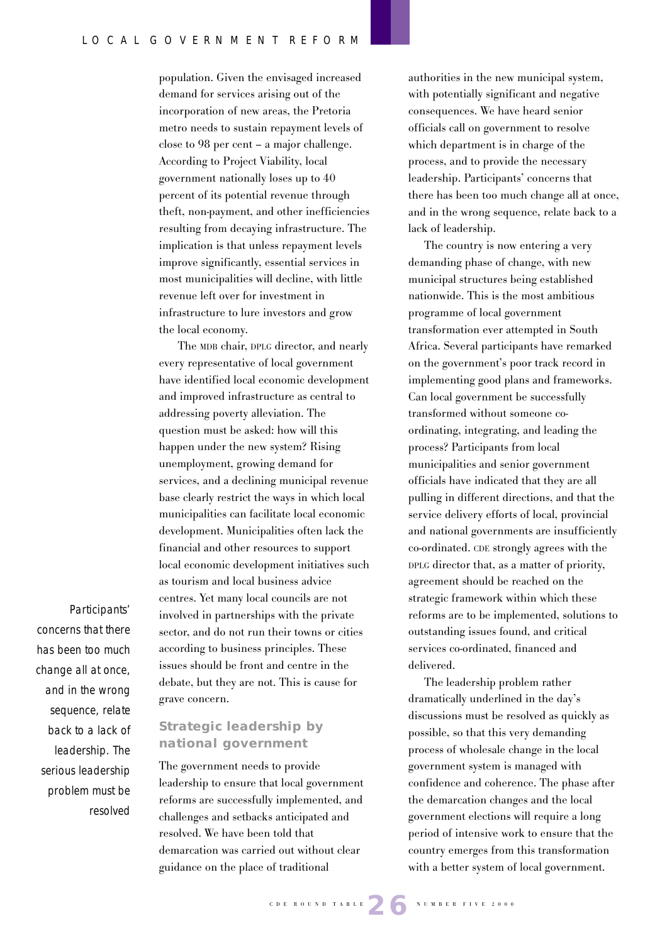population. Given the envisaged increased demand for services arising out of the incorporation of new areas, the Pretoria metro needs to sustain repayment levels of close to 98 per cent – a major challenge. According to Project Viability, local government nationally loses up to 40 percent of its potential revenue through theft, non-payment, and other inefficiencies resulting from decaying infrastructure. The implication is that unless repayment levels improve significantly, essential services in most municipalities will decline, with little revenue left over for investment in infrastructure to lure investors and grow the local economy.

 The MDB chair, DPLG director, and nearly every representative of local government have identified local economic development and improved infrastructure as central to addressing poverty alleviation. The question must be asked: how will this happen under the new system? Rising unemployment, growing demand for services, and a declining municipal revenue base clearly restrict the ways in which local municipalities can facilitate local economic development. Municipalities often lack the financial and other resources to support local economic development initiatives such as tourism and local business advice centres. Yet many local councils are not involved in partnerships with the private sector, and do not run their towns or cities according to business principles. These issues should be front and centre in the debate, but they are not. This is cause for grave concern.

### **Strategic leadership by national government**

The government needs to provide leadership to ensure that local government reforms are successfully implemented, and challenges and setbacks anticipated and resolved. We have been told that demarcation was carried out without clear guidance on the place of traditional

authorities in the new municipal system, with potentially significant and negative consequences. We have heard senior officials call on government to resolve which department is in charge of the process, and to provide the necessary leadership. Participants' concerns that there has been too much change all at once, and in the wrong sequence, relate back to a lack of leadership.

The country is now entering a very demanding phase of change, with new municipal structures being established nationwide. This is the most ambitious programme of local government transformation ever attempted in South Africa. Several participants have remarked on the government's poor track record in implementing good plans and frameworks. Can local government be successfully transformed without someone coordinating, integrating, and leading the process? Participants from local municipalities and senior government officials have indicated that they are all pulling in different directions, and that the service delivery efforts of local, provincial and national governments are insufficiently co-ordinated. CDE strongly agrees with the DPLG director that, as a matter of priority, agreement should be reached on the strategic framework within which these reforms are to be implemented, solutions to outstanding issues found, and critical services co-ordinated, financed and delivered.

The leadership problem rather dramatically underlined in the day's discussions must be resolved as quickly as possible, so that this very demanding process of wholesale change in the local government system is managed with confidence and coherence. The phase after the demarcation changes and the local government elections will require a long period of intensive work to ensure that the country emerges from this transformation with a better system of local government.

Participants' concerns that there has been too much change all at once, and in the wrong sequence, relate back to a lack of leadership. The serious leadership problem must be resolved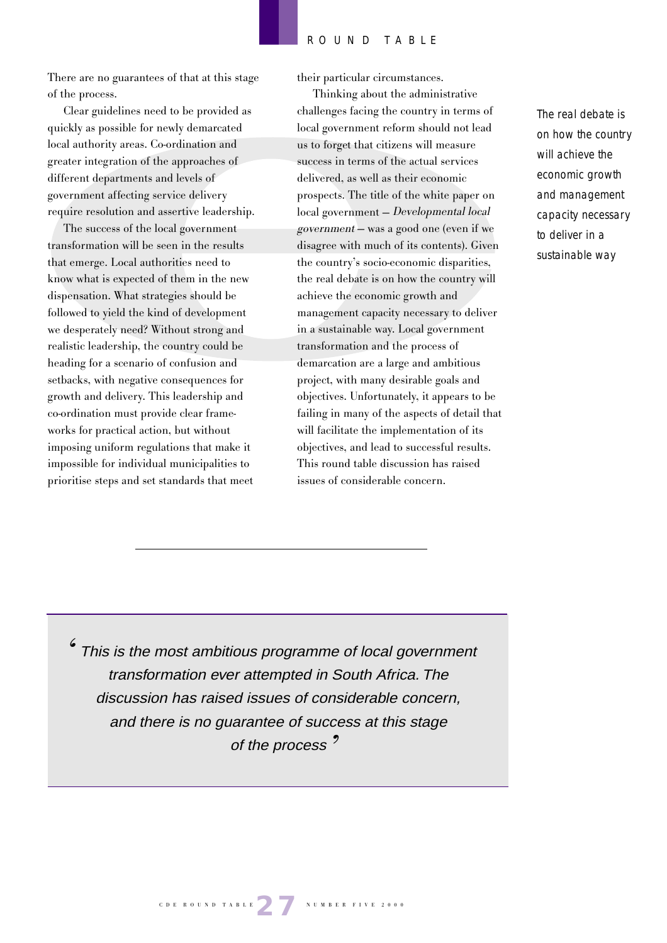There are no guarantees of that at this stage of the process.

Clear guidelines need to be provided as quickly as possible for newly demarcated local authority areas. Co-ordination and greater integration of the approaches of different departments and levels of government affecting service delivery require resolution and assertive leadership.

The success of the local government transformation will be seen in the results that emerge. Local authorities need to know what is expected of them in the new dispensation. What strategies should be followed to yield the kind of development we desperately need? Without strong and realistic leadership, the country could be heading for a scenario of confusion and setbacks, with negative consequences for growth and delivery. This leadership and co-ordination must provide clear frameworks for practical action, but without imposing uniform regulations that make it impossible for individual municipalities to prioritise steps and set standards that meet their particular circumstances.

Thinking about the administrative challenges facing the country in terms of local government reform should not lead us to forget that citizens will measure success in terms of the actual services delivered, as well as their economic prospects. The title of the white paper on local government — Developmental local government — was a good one (even if we disagree with much of its contents). Given the country's socio-economic disparities, the real debate is on how the country will achieve the economic growth and management capacity necessary to deliver in a sustainable way. Local government transformation and the process of demarcation are a large and ambitious project, with many desirable goals and objectives. Unfortunately, it appears to be failing in many of the aspects of detail that will facilitate the implementation of its objectives, and lead to successful results. This round table discussion has raised issues of considerable concern.

The real debate is on how the country will achieve the economic growth and management capacity necessary to deliver in a sustainable way

This is the most ambitious programme of local government transformation ever attempted in South Africa. The discussion has raised issues of considerable concern, and there is no guarantee of success at this stage of the process  $^{\textcolor{red}{\bullet}}$ '